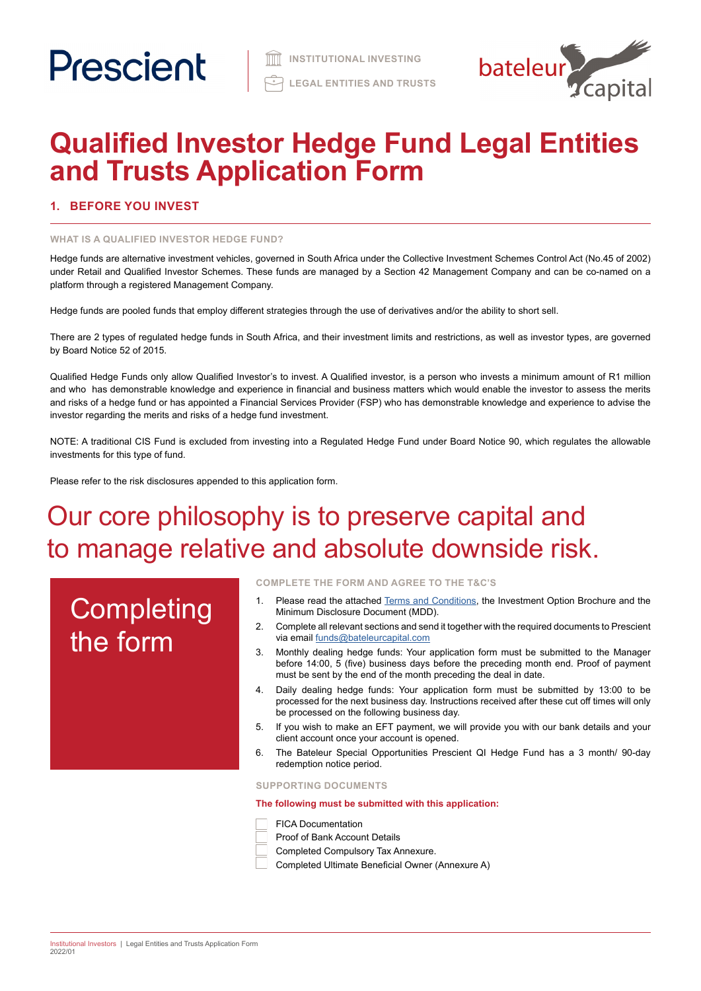

# **Qualified Investor Hedge Fund Legal Entities and Trusts Application Form**

# **1. BEFORE YOU INVEST**

### **WHAT IS A QUALIFIED INVESTOR HEDGE FUND?**

Hedge funds are alternative investment vehicles, governed in South Africa under the Collective Investment Schemes Control Act (No.45 of 2002) under Retail and Qualified Investor Schemes. These funds are managed by a Section 42 Management Company and can be co-named on a platform through a registered Management Company.

Hedge funds are pooled funds that employ different strategies through the use of derivatives and/or the ability to short sell.

There are 2 types of regulated hedge funds in South Africa, and their investment limits and restrictions, as well as investor types, are governed by Board Notice 52 of 2015.

Qualified Hedge Funds only allow Qualified Investor's to invest. A Qualified investor, is a person who invests a minimum amount of R1 million and who has demonstrable knowledge and experience in financial and business matters which would enable the investor to assess the merits and risks of a hedge fund or has appointed a Financial Services Provider (FSP) who has demonstrable knowledge and experience to advise the investor regarding the merits and risks of a hedge fund investment.

NOTE: A traditional CIS Fund is excluded from investing into a Regulated Hedge Fund under Board Notice 90, which regulates the allowable investments for this type of fund.

Please refer to the risk disclosures appended to this application form.

# Our core philosophy is to preserve capital and to manage relative and absolute downside risk.

# **Completing** the form

**COMPLETE THE FORM AND AGREE TO THE T&C'S**

- 1. Please read the attached [Terms and Conditions](https://www.prescient.co.za/media/de4hvtza/prescient-hedge-fund-terms-conditions.pdf), the Investment Option Brochure and the Minimum Disclosure Document (MDD).
- 2. Complete all relevant sections and send it together with the required documents to Prescient via email [funds@bateleurcapital.com](mailto:funds%40bateleurcapital.com?subject=Hedge%20Fund%20Application%20Form%20Legal%20Entities%20QI)
- 3. Monthly dealing hedge funds: Your application form must be submitted to the Manager before 14:00, 5 (five) business days before the preceding month end. Proof of payment must be sent by the end of the month preceding the deal in date.
- 4. Daily dealing hedge funds: Your application form must be submitted by 13:00 to be processed for the next business day. Instructions received after these cut off times will only be processed on the following business day.
- 5. If you wish to make an EFT payment, we will provide you with our bank details and your client account once your account is opened.
- 6. The Bateleur Special Opportunities Prescient QI Hedge Fund has a 3 month/ 90-day redemption notice period.

**SUPPORTING DOCUMENTS** 

**The following must be submitted with this application:**

- FICA Documentation
- Proof of Bank Account Details
- Completed Compulsory Tax Annexure.
- Completed Ultimate Beneficial Owner (Annexure A)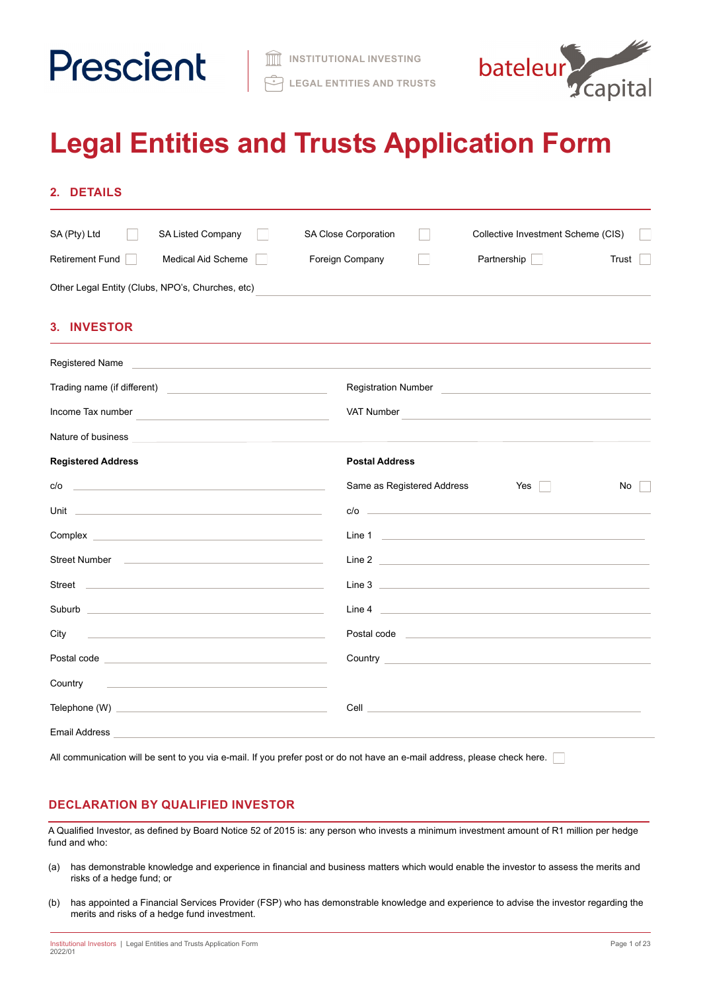



# **Legal Entities and Trusts Application Form**

| SA (Pty) Ltd<br><b>SA Listed Company</b>                                                                                                                                                                                             | SA Close Corporation<br>Collective Investment Scheme (CIS)                                                                                                                                                                           |
|--------------------------------------------------------------------------------------------------------------------------------------------------------------------------------------------------------------------------------------|--------------------------------------------------------------------------------------------------------------------------------------------------------------------------------------------------------------------------------------|
| Retirement Fund<br>Medical Aid Scheme                                                                                                                                                                                                | Foreign Company<br>Partnership<br>Trust                                                                                                                                                                                              |
| Other Legal Entity (Clubs, NPO's, Churches, etc)                                                                                                                                                                                     |                                                                                                                                                                                                                                      |
| 3. INVESTOR                                                                                                                                                                                                                          |                                                                                                                                                                                                                                      |
| Registered Name<br><u> 1980 - John Stein, marking ar yn y brening yn y brening yn y brening yn y brening yn y brening yn y brening y</u>                                                                                             |                                                                                                                                                                                                                                      |
| Trading name (if different) and the state of the state of the state of the state of the state of the state of the state of the state of the state of the state of the state of the state of the state of the state of the stat       | <b>Registration Number</b>                                                                                                                                                                                                           |
| Income Tax number                                                                                                                                                                                                                    | VAT Number                                                                                                                                                                                                                           |
| Nature of business <b>contained a set of the set of business</b>                                                                                                                                                                     |                                                                                                                                                                                                                                      |
| <b>Registered Address</b>                                                                                                                                                                                                            | <b>Postal Address</b>                                                                                                                                                                                                                |
|                                                                                                                                                                                                                                      | Same as Registered Address<br>Yes    <br>No                                                                                                                                                                                          |
| Unit <u>the contract of the contract of the contract of the contract of the contract of the contract of</u>                                                                                                                          | $c/o$ $\qquad \qquad$                                                                                                                                                                                                                |
| Complex <b>Complex Complex</b>                                                                                                                                                                                                       | Line 1 <u>and 1 and 2000 and 2000 and 2000 and 2000 and 2000 and 2000 and 2000 and 2000 and 2000 and 2000 and 200</u>                                                                                                                |
|                                                                                                                                                                                                                                      | Line 2 <u>and 2 and 2 and 2 and 2 and 2 and 2 and 2 and 2 and 2 and 2 and 2 and 2 and 2 and 2 and 2 and 2 and 2 and 2 and 2 and 2 and 2 and 2 and 2 and 2 and 2 and 2 and 2 and 2 and 2 and 2 and 2 and 2 and 2 and 2 and 2 and </u> |
| Street <u>and the street of the street and the street of the street and the street of the street and the street of the street of the street and the street of the street of the street of the street of the street of the street</u> | Line 3 <b>Example 2 Contract 2 Property 2 Property 2 Property 2 Property 2 Property 2 Property</b>                                                                                                                                   |
| Suburb <b>Executive Contract Contract Contract Contract Contract Contract Contract Contract Contract Contract Contract Contract Contract Contract Contract Contract Contract Contract Contract Contract Contract Contract Contra</b> | Line 4 <u>and 2000 and 2000 and 2000 and 2000 and 2000 and 2000 and 2000 and 2000 and 2000 and 2000 and 2000 and 2000 and 2000 and 2000 and 2000 and 2000 and 2000 and 2000 and 2000 and 2000 and 2000 and 2000 and 2000 and 200</u> |
| City                                                                                                                                                                                                                                 | Postal code entrance and a series of the series of the series of the series of the series of the series of the                                                                                                                       |
|                                                                                                                                                                                                                                      | <b>Country Country Countries and Countries and Country Country Countries and Countries and Countries and Countries and Countries and Countries and Countries and Countries and Countries and Countries and Countries and Countri</b> |
| Country<br><u> 1989 - Andrea Barbara, amerikan personal dan personal dan personal dan personal dan personal dan personal dan</u>                                                                                                     |                                                                                                                                                                                                                                      |
|                                                                                                                                                                                                                                      | <b>Cell</b> Contract the Contract of the Contract of the Contract of the Contract of the Contract of the Contract of the Contract of the Contract of the Contract of the Contract of the Contract of the Contract of the Contract o  |
| Email Address                                                                                                                                                                                                                        |                                                                                                                                                                                                                                      |

# **DECLARATION BY QUALIFIED INVESTOR**

A Qualified Investor, as defined by Board Notice 52 of 2015 is: any person who invests a minimum investment amount of R1 million per hedge fund and who:

- (a) has demonstrable knowledge and experience in financial and business matters which would enable the investor to assess the merits and risks of a hedge fund; or
- (b) has appointed a Financial Services Provider (FSP) who has demonstrable knowledge and experience to advise the investor regarding the merits and risks of a hedge fund investment.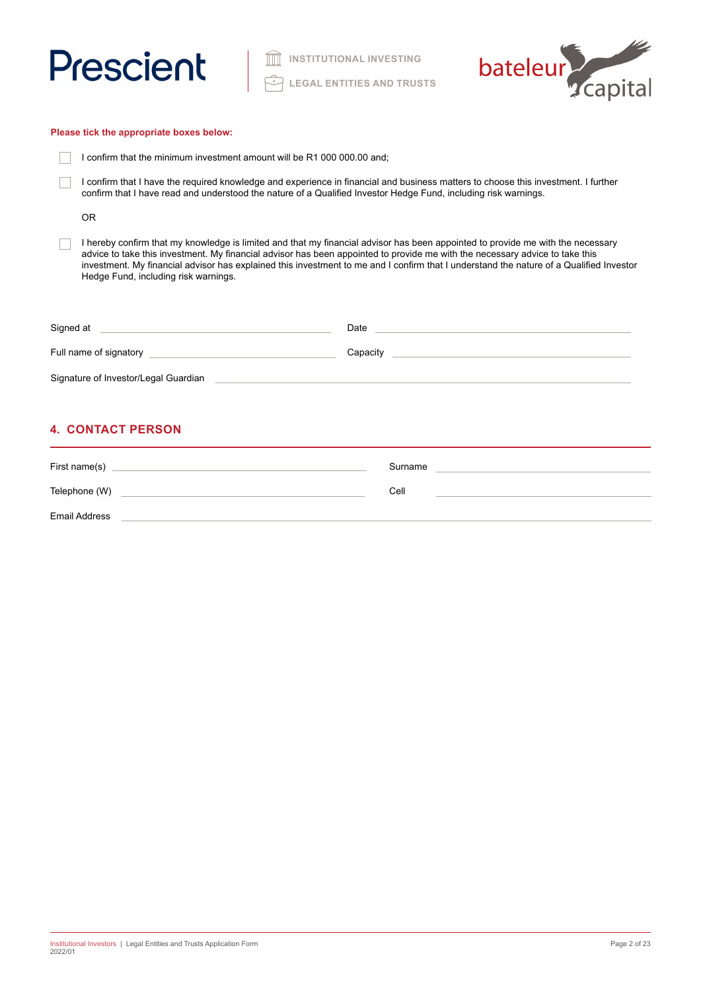

**III** INSTITUTIONAL INVESTING **LEGAL ENTITIES AND TRUSTS**



| Please tick the appropriate boxes below:                                                                                                                                                                                                              |                                                                                                                                                                                                                                                                            |  |  |  |  |
|-------------------------------------------------------------------------------------------------------------------------------------------------------------------------------------------------------------------------------------------------------|----------------------------------------------------------------------------------------------------------------------------------------------------------------------------------------------------------------------------------------------------------------------------|--|--|--|--|
| I confirm that the minimum investment amount will be R1 000 000.00 and:                                                                                                                                                                               |                                                                                                                                                                                                                                                                            |  |  |  |  |
| I confirm that I have the required knowledge and experience in financial and business matters to choose this investment. I further<br>confirm that I have read and understood the nature of a Qualified Investor Hedge Fund, including risk warnings. |                                                                                                                                                                                                                                                                            |  |  |  |  |
| <b>OR</b>                                                                                                                                                                                                                                             |                                                                                                                                                                                                                                                                            |  |  |  |  |
| advice to take this investment. My financial advisor has been appointed to provide me with the necessary advice to take this<br>Hedge Fund, including risk warnings.                                                                                  | I hereby confirm that my knowledge is limited and that my financial advisor has been appointed to provide me with the necessary<br>investment. My financial advisor has explained this investment to me and I confirm that I understand the nature of a Qualified Investor |  |  |  |  |
| Signed at the contract of the contract of the contract of the contract of the contract of the contract of the contract of the contract of the contract of the contract of the contract of the contract of the contract of the                         | Date 2008 2009 2010 2021 2022 2023 2024 2022 2023 2024 2022 2023 2024 2022 2023 2024 2022 2023 2024 2022 2023                                                                                                                                                              |  |  |  |  |
|                                                                                                                                                                                                                                                       | Capacity <b>Capacity Capacity Capacity Capacity</b>                                                                                                                                                                                                                        |  |  |  |  |
| Signature of Investor/Legal Guardian                                                                                                                                                                                                                  |                                                                                                                                                                                                                                                                            |  |  |  |  |

# **4. CONTACT PERSON**

| First name(s)        | Surname |
|----------------------|---------|
| Telephone (W)        | Cell    |
| <b>Email Address</b> |         |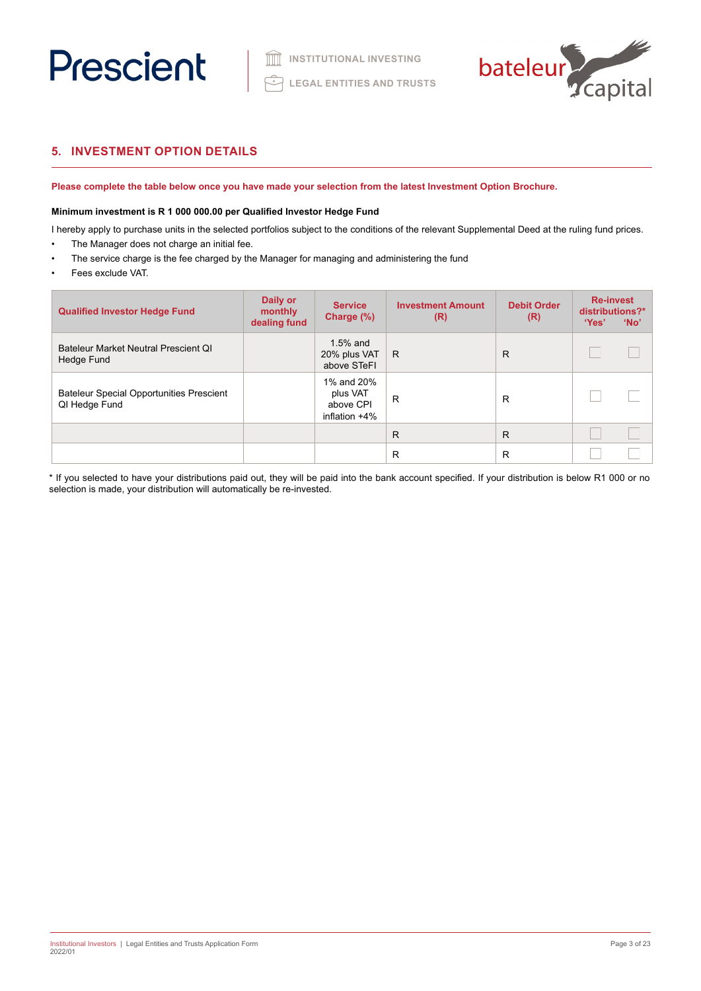

# **5. INVESTMENT OPTION DETAILS**

**Please complete the table below once you have made your selection from the latest Investment Option Brochure.** 

# **Minimum investment is R 1 000 000.00 per Qualified Investor Hedge Fund**

I hereby apply to purchase units in the selected portfolios subject to the conditions of the relevant Supplemental Deed at the ruling fund prices.

- The Manager does not charge an initial fee. The service charge is the fee charged by the Manager for managing and administering the fund
- Fees exclude VAT.

| <b>Qualified Investor Hedge Fund</b>                             | Daily or<br>monthly<br>dealing fund | <b>Service</b><br>Charge (%)                            | <b>Investment Amount</b><br>(R) | <b>Debit Order</b><br>(R) | <b>Re-invest</b><br>distributions?*<br>'Yes' | 'No' |
|------------------------------------------------------------------|-------------------------------------|---------------------------------------------------------|---------------------------------|---------------------------|----------------------------------------------|------|
| Bateleur Market Neutral Prescient OI<br>Hedge Fund               |                                     | $1.5%$ and<br>20% plus VAT<br>above STeFI               | R                               | R                         |                                              |      |
| <b>Bateleur Special Opportunities Prescient</b><br>QI Hedge Fund |                                     | 1% and 20%<br>plus VAT<br>above CPI<br>inflation $+4\%$ | R                               | R                         |                                              |      |
|                                                                  |                                     |                                                         | $\mathsf{R}$                    | R                         |                                              |      |
|                                                                  |                                     |                                                         | R                               | R                         |                                              |      |

\* If you selected to have your distributions paid out, they will be paid into the bank account specified. If your distribution is below R1 000 or no selection is made, your distribution will automatically be re-invested.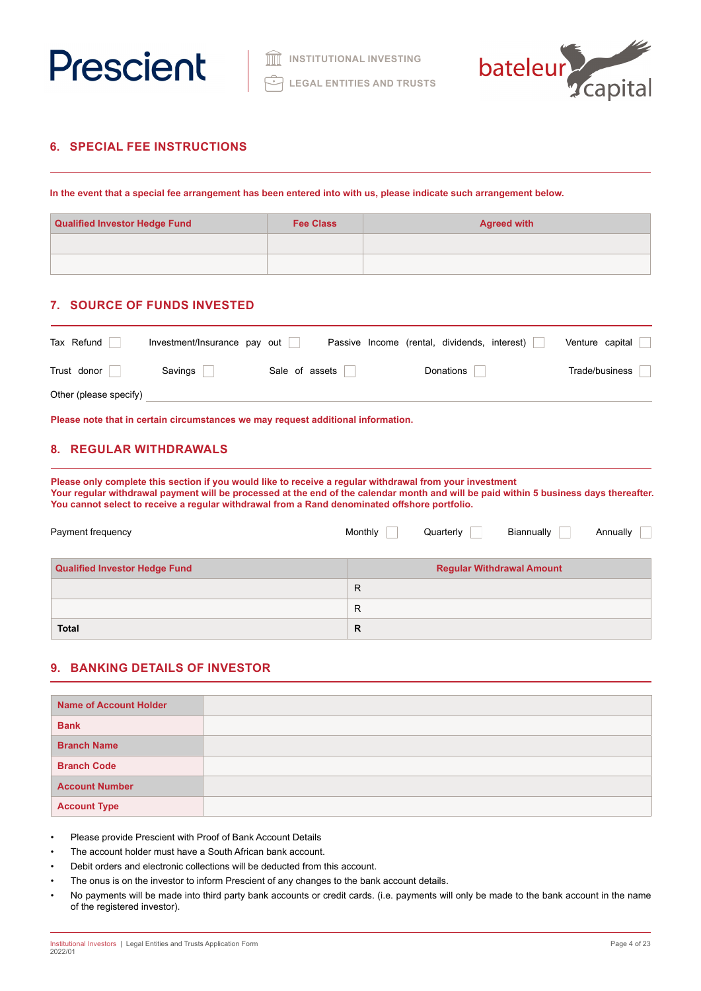



# **6. SPECIAL FEE INSTRUCTIONS**

**In the event that a special fee arrangement has been entered into with us, please indicate such arrangement below.**

| <b>Qualified Investor Hedge Fund</b> | <b>Fee Class</b> | <b>Agreed with</b> |  |
|--------------------------------------|------------------|--------------------|--|
|                                      |                  |                    |  |
|                                      |                  |                    |  |

# **7. SOURCE OF FUNDS INVESTED**

| Tax Refund             | Investment/Insurance pay out |                | Passive Income (rental, dividends, interest) | Venture capital |
|------------------------|------------------------------|----------------|----------------------------------------------|-----------------|
| Trust donor            | Savings                      | Sale of assets | Donations                                    | Trade/business  |
| Other (please specify) |                              |                |                                              |                 |

**Please note that in certain circumstances we may request additional information.**

# **8. REGULAR WITHDRAWALS**

**Please only complete this section if you would like to receive a regular withdrawal from your investment Your regular withdrawal payment will be processed at the end of the calendar month and will be paid within 5 business days thereafter. You cannot select to receive a regular withdrawal from a Rand denominated offshore portfolio.**

| Payment frequency                    | Monthly | Quarterly | Biannually                       | Annually |
|--------------------------------------|---------|-----------|----------------------------------|----------|
| <b>Qualified Investor Hedge Fund</b> |         |           | <b>Regular Withdrawal Amount</b> |          |
|                                      | R       |           |                                  |          |
|                                      | R       |           |                                  |          |
| <b>Total</b>                         | R       |           |                                  |          |

# **9. BANKING DETAILS OF INVESTOR**

| <b>Name of Account Holder</b> |  |
|-------------------------------|--|
| <b>Bank</b>                   |  |
| <b>Branch Name</b>            |  |
| <b>Branch Code</b>            |  |
| <b>Account Number</b>         |  |
| <b>Account Type</b>           |  |

• Please provide Prescient with Proof of Bank Account Details

- The account holder must have a South African bank account.
- Debit orders and electronic collections will be deducted from this account.
- The onus is on the investor to inform Prescient of any changes to the bank account details.
- No payments will be made into third party bank accounts or credit cards. (i.e. payments will only be made to the bank account in the name of the registered investor).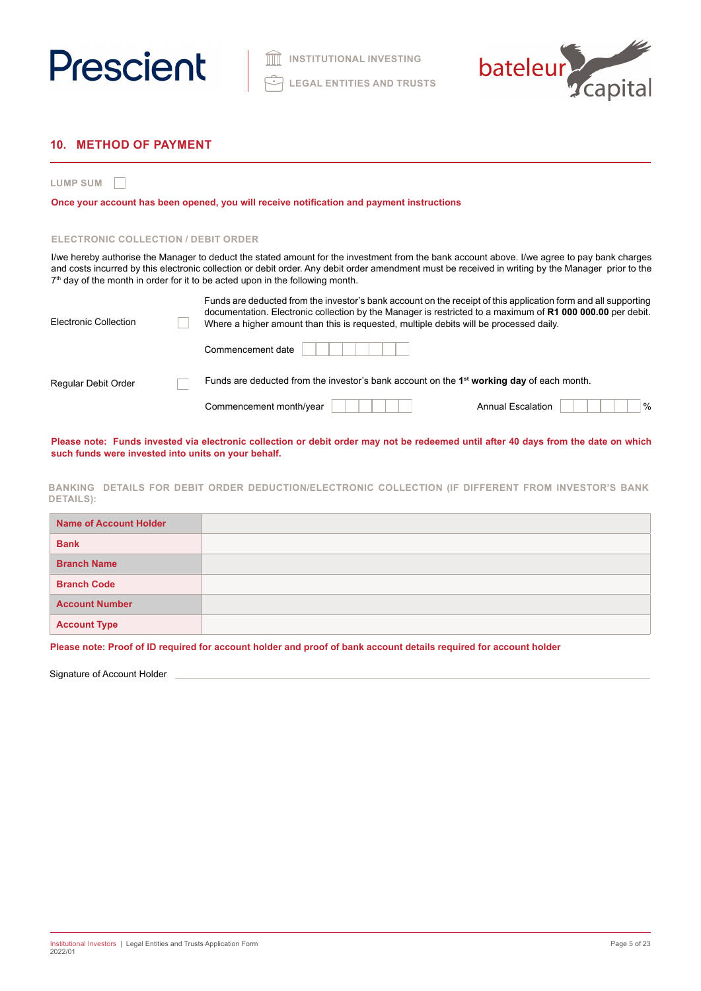



# **10. METHOD OF PAYMENT**

**LUMP SUM**

**Once your account has been opened, you will receive notification and payment instructions**

### **ELECTRONIC COLLECTION / DEBIT ORDER**

I/we hereby authorise the Manager to deduct the stated amount for the investment from the bank account above. I/we agree to pay bank charges and costs incurred by this electronic collection or debit order. Any debit order amendment must be received in writing by the Manager prior to the 7<sup>th</sup> day of the month in order for it to be acted upon in the following month.

| Electronic Collection | Funds are deducted from the investor's bank account on the receipt of this application form and all supporting<br>documentation. Electronic collection by the Manager is restricted to a maximum of R1 000 000.00 per debit.<br>Where a higher amount than this is requested, multiple debits will be processed daily. |
|-----------------------|------------------------------------------------------------------------------------------------------------------------------------------------------------------------------------------------------------------------------------------------------------------------------------------------------------------------|
|                       | Commencement date                                                                                                                                                                                                                                                                                                      |
| Regular Debit Order   | Funds are deducted from the investor's bank account on the $1st$ working day of each month.                                                                                                                                                                                                                            |
|                       | $\frac{0}{0}$<br>Commencement month/year<br><b>Annual Escalation</b>                                                                                                                                                                                                                                                   |

**Please note: Funds invested via electronic collection or debit order may not be redeemed until after 40 days from the date on which such funds were invested into units on your behalf.**

**BANKING DETAILS FOR DEBIT ORDER DEDUCTION/ELECTRONIC COLLECTION (IF DIFFERENT FROM INVESTOR'S BANK DETAILS):**

| <b>Name of Account Holder</b> |  |
|-------------------------------|--|
| <b>Bank</b>                   |  |
| <b>Branch Name</b>            |  |
| <b>Branch Code</b>            |  |
| <b>Account Number</b>         |  |
| <b>Account Type</b>           |  |

**Please note: Proof of ID required for account holder and proof of bank account details required for account holder**

Signature of Account Holder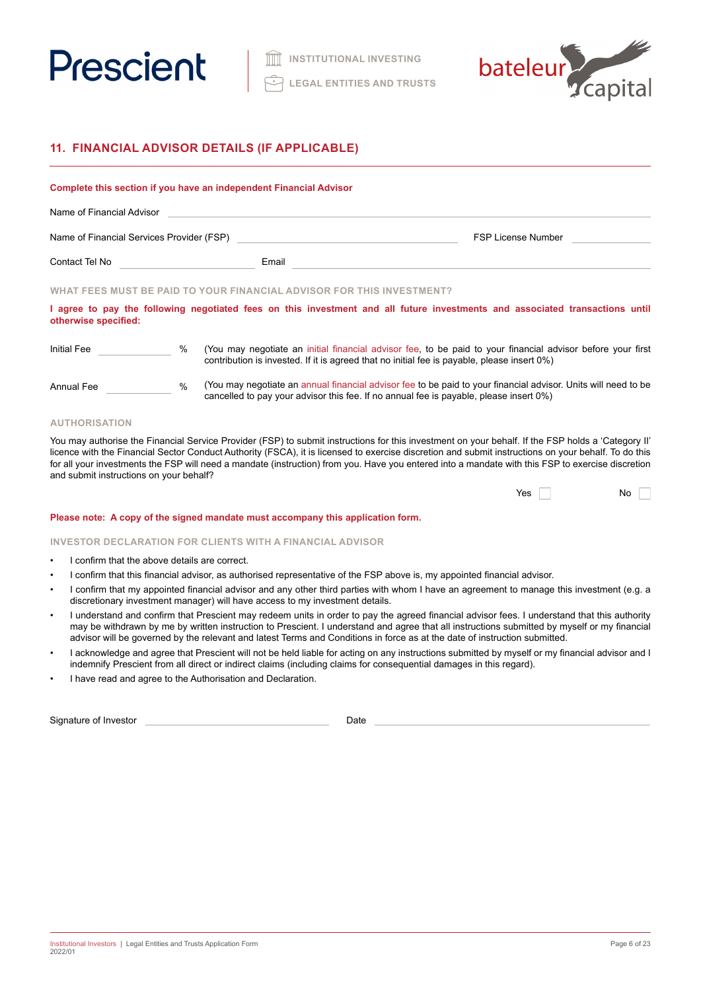



# **11. FINANCIAL ADVISOR DETAILS (IF APPLICABLE)**

### **Complete this section if you have an independent Financial Advisor**

| Name of Financial Advisor                 |  |                           |
|-------------------------------------------|--|---------------------------|
| Name of Financial Services Provider (FSP) |  | <b>FSP License Number</b> |
| Email<br>Contact Tel No                   |  |                           |

## **WHAT FEES MUST BE PAID TO YOUR FINANCIAL ADVISOR FOR THIS INVESTMENT?**

**I agree to pay the following negotiated fees on this investment and all future investments and associated transactions until otherwise specified:**

| Initial Fee | (You may negotiate an initial financial advisor fee, to be paid to your financial advisor before your first |
|-------------|-------------------------------------------------------------------------------------------------------------|
|             | contribution is invested. If it is agreed that no initial fee is payable, please insert 0%)                 |

| Annual Fee |  |
|------------|--|
|            |  |

(You may negotiate an annual financial advisor fee to be paid to your financial advisor. Units will need to be cancelled to pay your advisor this fee. If no annual fee is payable, please insert 0%)

# **AUTHORISATION**

You may authorise the Financial Service Provider (FSP) to submit instructions for this investment on your behalf. If the FSP holds a 'Category II' licence with the Financial Sector Conduct Authority (FSCA), it is licensed to exercise discretion and submit instructions on your behalf. To do this for all your investments the FSP will need a mandate (instruction) from you. Have you entered into a mandate with this FSP to exercise discretion and submit instructions on your behalf?

| Yes |  | No |  |
|-----|--|----|--|
|-----|--|----|--|

#### **Please note: A copy of the signed mandate must accompany this application form.**

### **INVESTOR DECLARATION FOR CLIENTS WITH A FINANCIAL ADVISOR**

- I confirm that the above details are correct.
- I confirm that this financial advisor, as authorised representative of the FSP above is, my appointed financial advisor.
- I confirm that my appointed financial advisor and any other third parties with whom I have an agreement to manage this investment (e.g. a discretionary investment manager) will have access to my investment details.
- I understand and confirm that Prescient may redeem units in order to pay the agreed financial advisor fees. I understand that this authority may be withdrawn by me by written instruction to Prescient. I understand and agree that all instructions submitted by myself or my financial advisor will be governed by the relevant and latest Terms and Conditions in force as at the date of instruction submitted.
- I acknowledge and agree that Prescient will not be held liable for acting on any instructions submitted by myself or my financial advisor and I indemnify Prescient from all direct or indirect claims (including claims for consequential damages in this regard).
- I have read and agree to the Authorisation and Declaration.

Signature of Investor **Date**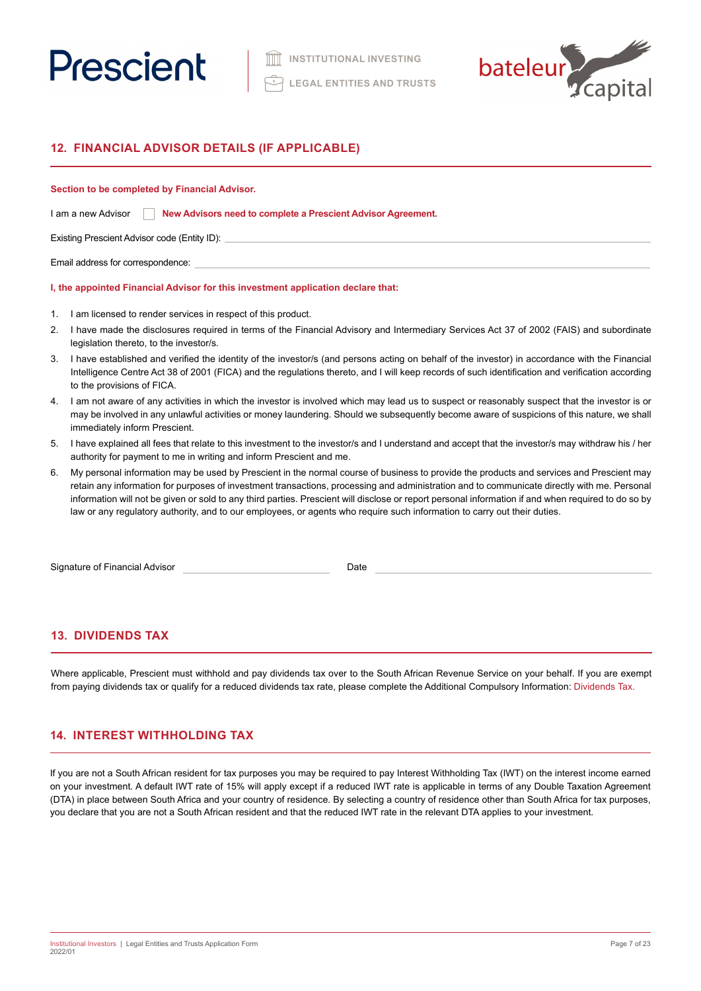



# **12. FINANCIAL ADVISOR DETAILS (IF APPLICABLE)**

### **Section to be completed by Financial Advisor.**

| I am a new Advisor |  | New Advisors need to complete a Prescient Advisor Agreement. |  |
|--------------------|--|--------------------------------------------------------------|--|
|--------------------|--|--------------------------------------------------------------|--|

Existing Prescient Advisor code (Entity ID):

Email address for correspondence:

# **I, the appointed Financial Advisor for this investment application declare that:**

- 1. I am licensed to render services in respect of this product.
- 2. I have made the disclosures required in terms of the Financial Advisory and Intermediary Services Act 37 of 2002 (FAIS) and subordinate legislation thereto, to the investor/s.
- 3. I have established and verified the identity of the investor/s (and persons acting on behalf of the investor) in accordance with the Financial Intelligence Centre Act 38 of 2001 (FICA) and the regulations thereto, and I will keep records of such identification and verification according to the provisions of FICA.
- 4. I am not aware of any activities in which the investor is involved which may lead us to suspect or reasonably suspect that the investor is or may be involved in any unlawful activities or money laundering. Should we subsequently become aware of suspicions of this nature, we shall immediately inform Prescient.
- 5. I have explained all fees that relate to this investment to the investor/s and I understand and accept that the investor/s may withdraw his / her authority for payment to me in writing and inform Prescient and me.
- 6. My personal information may be used by Prescient in the normal course of business to provide the products and services and Prescient may retain any information for purposes of investment transactions, processing and administration and to communicate directly with me. Personal information will not be given or sold to any third parties. Prescient will disclose or report personal information if and when required to do so by law or any regulatory authority, and to our employees, or agents who require such information to carry out their duties.

Signature of Financial Advisor **Date** 

# **13. DIVIDENDS TAX**

Where applicable, Prescient must withhold and pay dividends tax over to the South African Revenue Service on your behalf. If you are exempt from paying dividends tax or qualify for a reduced dividends tax rate, please complete the Additional Compulsory Information: Dividends Tax.

# **14. INTEREST WITHHOLDING TAX**

If you are not a South African resident for tax purposes you may be required to pay Interest Withholding Tax (IWT) on the interest income earned on your investment. A default IWT rate of 15% will apply except if a reduced IWT rate is applicable in terms of any Double Taxation Agreement (DTA) in place between South Africa and your country of residence. By selecting a country of residence other than South Africa for tax purposes, you declare that you are not a South African resident and that the reduced IWT rate in the relevant DTA applies to your investment.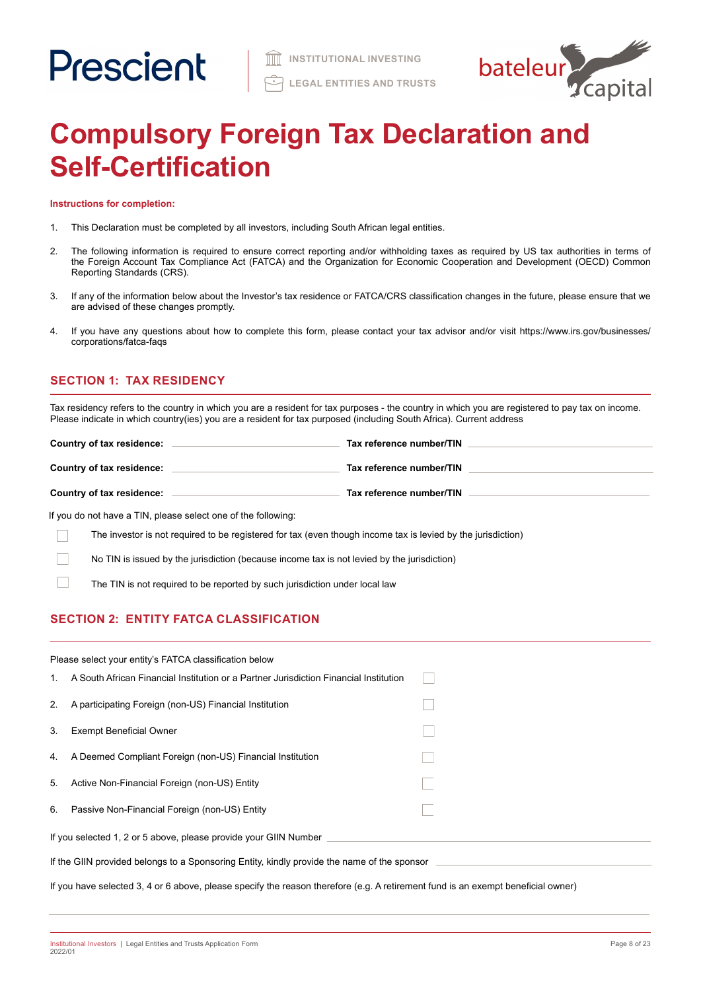

# **Compulsory Foreign Tax Declaration and Self-Certification**

**Instructions for completion:**

- 1. This Declaration must be completed by all investors, including South African legal entities.
- 2. The following information is required to ensure correct reporting and/or withholding taxes as required by US tax authorities in terms of the Foreign Account Tax Compliance Act (FATCA) and the Organization for Economic Cooperation and Development (OECD) Common Reporting Standards (CRS).
- 3. If any of the information below about the Investor's tax residence or FATCA/CRS classification changes in the future, please ensure that we are advised of these changes promptly.
- 4. If you have any questions about how to complete this form, please contact your tax advisor and/or visit https://www.irs.gov/businesses/ corporations/fatca-faqs

# **SECTION 1: TAX RESIDENCY**

Tax residency refers to the country in which you are a resident for tax purposes - the country in which you are registered to pay tax on income. Please indicate in which country(ies) you are a resident for tax purposed (including South Africa). Current address

| Country of tax residence: | Tax reference number/TIN |
|---------------------------|--------------------------|
| Country of tax residence: | Tax reference number/TIN |
| Country of tax residence: | Tax reference number/TIN |

If you do not have a TIN, please select one of the following:

The investor is not required to be registered for tax (even though income tax is levied by the jurisdiction) Г

No TIN is issued by the jurisdiction (because income tax is not levied by the jurisdiction)

The TIN is not required to be reported by such jurisdiction under local law

# **SECTION 2: ENTITY FATCA CLASSIFICATION**

|                                                                                             | Please select your entity's FATCA classification below                                                                           |  |  |
|---------------------------------------------------------------------------------------------|----------------------------------------------------------------------------------------------------------------------------------|--|--|
| 1.                                                                                          | A South African Financial Institution or a Partner Jurisdiction Financial Institution                                            |  |  |
| 2.                                                                                          | A participating Foreign (non-US) Financial Institution                                                                           |  |  |
| 3.                                                                                          | <b>Exempt Beneficial Owner</b>                                                                                                   |  |  |
| 4.                                                                                          | A Deemed Compliant Foreign (non-US) Financial Institution                                                                        |  |  |
| 5.                                                                                          | Active Non-Financial Foreign (non-US) Entity                                                                                     |  |  |
| 6.                                                                                          | Passive Non-Financial Foreign (non-US) Entity                                                                                    |  |  |
| If you selected 1, 2 or 5 above, please provide your GIIN Number                            |                                                                                                                                  |  |  |
| If the GIIN provided belongs to a Sponsoring Entity, kindly provide the name of the sponsor |                                                                                                                                  |  |  |
|                                                                                             | If you have selected 3, 4 or 6 above, please specify the reason therefore (e.g. A retirement fund is an exempt beneficial owner) |  |  |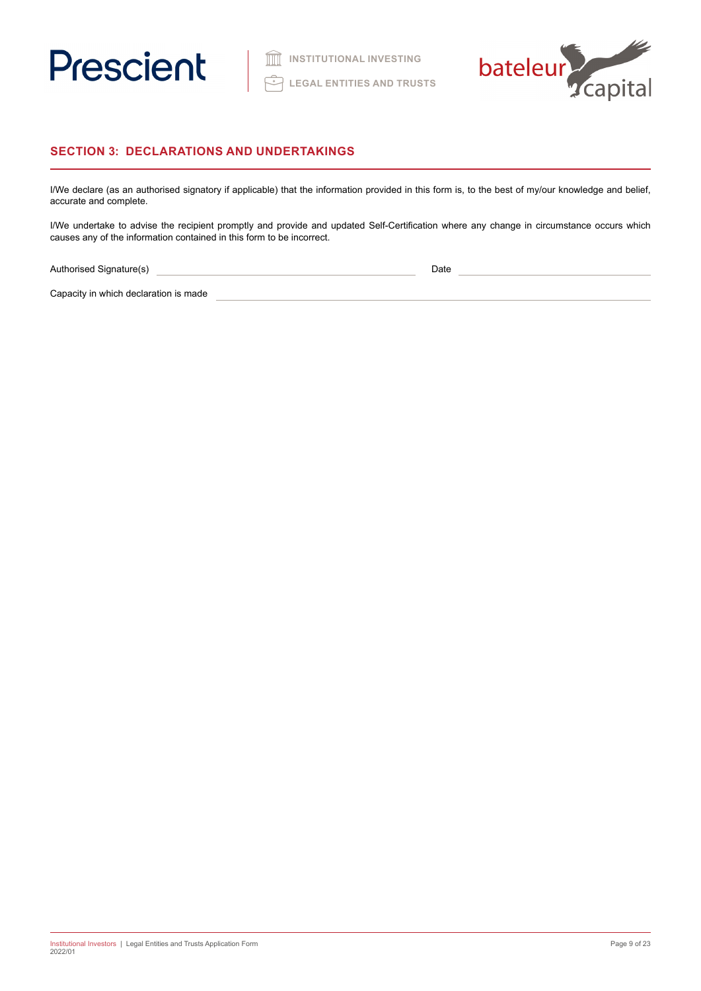



# **SECTION 3: DECLARATIONS AND UNDERTAKINGS**

I/We declare (as an authorised signatory if applicable) that the information provided in this form is, to the best of my/our knowledge and belief, accurate and complete.

I/We undertake to advise the recipient promptly and provide and updated Self-Certification where any change in circumstance occurs which causes any of the information contained in this form to be incorrect.

Authorised Signature(s) 2008 2009 2010 2020 2021 2021 2022 2022 2023 2024 2022 2023 2024 2022 2023 2024 2022 2023 2024 2022 2023 2024 2022 2023 2024 2022 2023 2024 2022 2023 2024 2022 2023 2024 2022 2023 2024 2023 2024 202

Capacity in which declaration is made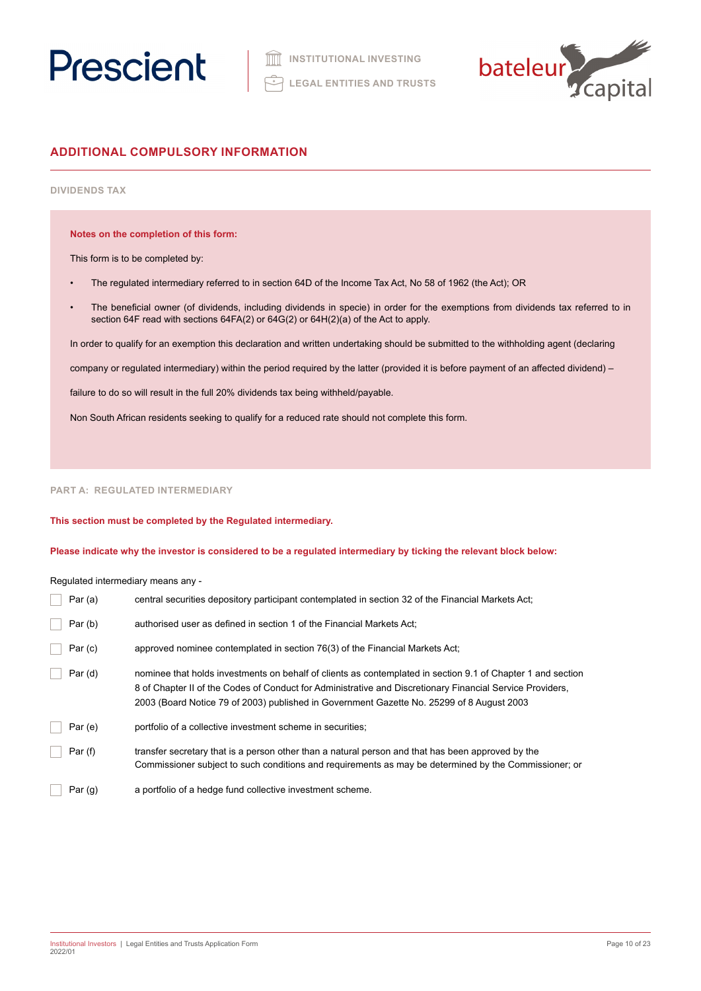



# **ADDITIONAL COMPULSORY INFORMATION**

# **DIVIDENDS TAX**

**Notes on the completion of this form:**

This form is to be completed by:

- The regulated intermediary referred to in section 64D of the Income Tax Act, No 58 of 1962 (the Act); OR
- The beneficial owner (of dividends, including dividends in specie) in order for the exemptions from dividends tax referred to in section 64F read with sections 64FA(2) or 64G(2) or 64H(2)(a) of the Act to apply.

In order to qualify for an exemption this declaration and written undertaking should be submitted to the withholding agent (declaring

company or regulated intermediary) within the period required by the latter (provided it is before payment of an affected dividend) –

failure to do so will result in the full 20% dividends tax being withheld/payable.

Non South African residents seeking to qualify for a reduced rate should not complete this form.

# **PART A: REGULATED INTERMEDIARY**

**This section must be completed by the Regulated intermediary.** 

**Please indicate why the investor is considered to be a regulated intermediary by ticking the relevant block below:**

Regulated intermediary means any -

| Par $(a)$ | central securities depository participant contemplated in section 32 of the Financial Markets Act;                                                                                                                                                                                                                    |
|-----------|-----------------------------------------------------------------------------------------------------------------------------------------------------------------------------------------------------------------------------------------------------------------------------------------------------------------------|
| Par(b)    | authorised user as defined in section 1 of the Financial Markets Act;                                                                                                                                                                                                                                                 |
| Par(c)    | approved nominee contemplated in section 76(3) of the Financial Markets Act;                                                                                                                                                                                                                                          |
| Par(d)    | nominee that holds investments on behalf of clients as contemplated in section 9.1 of Chapter 1 and section<br>8 of Chapter II of the Codes of Conduct for Administrative and Discretionary Financial Service Providers,<br>2003 (Board Notice 79 of 2003) published in Government Gazette No. 25299 of 8 August 2003 |
| Par(e)    | portfolio of a collective investment scheme in securities;                                                                                                                                                                                                                                                            |
| Par(f)    | transfer secretary that is a person other than a natural person and that has been approved by the<br>Commissioner subject to such conditions and requirements as may be determined by the Commissioner; or                                                                                                            |
| Par $(g)$ | a portfolio of a hedge fund collective investment scheme.                                                                                                                                                                                                                                                             |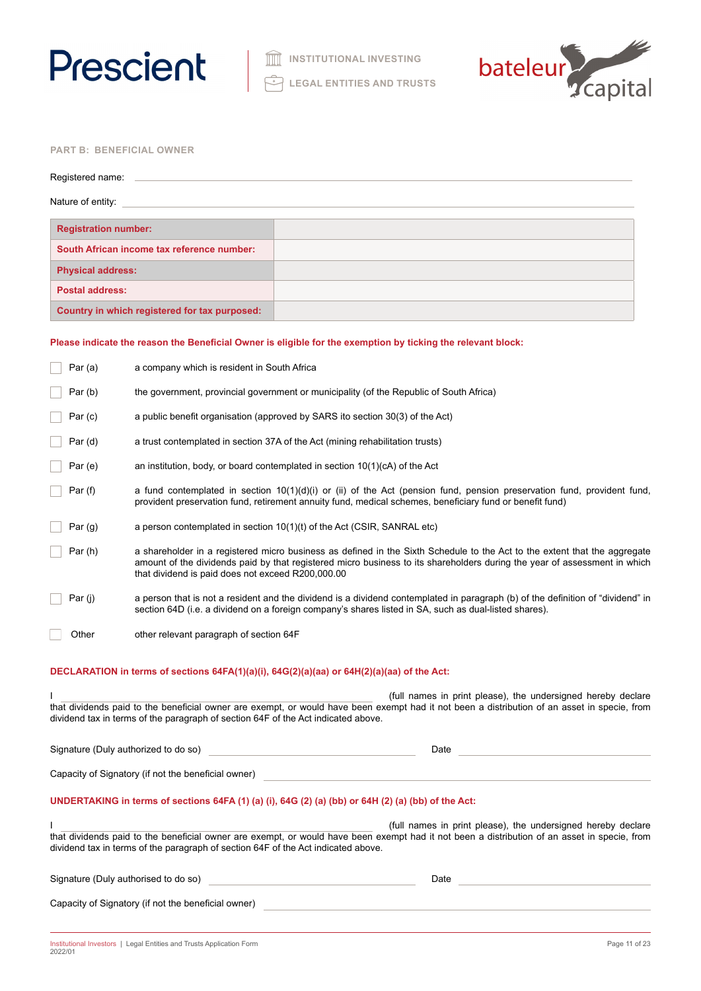



# **PART B: BENEFICIAL OWNER**

| Registered name:                              |  |
|-----------------------------------------------|--|
| Nature of entity:                             |  |
| <b>Registration number:</b>                   |  |
| South African income tax reference number:    |  |
| <b>Physical address:</b>                      |  |
| <b>Postal address:</b>                        |  |
| Country in which registered for tax purposed: |  |
|                                               |  |

# **Please indicate the reason the Beneficial Owner is eligible for the exemption by ticking the relevant block:**

| Par (a)   | a company which is resident in South Africa                                                         |                                                                                                                                                                                                                                                        |
|-----------|-----------------------------------------------------------------------------------------------------|--------------------------------------------------------------------------------------------------------------------------------------------------------------------------------------------------------------------------------------------------------|
| Par(b)    | the government, provincial government or municipality (of the Republic of South Africa)             |                                                                                                                                                                                                                                                        |
| Par(c)    | a public benefit organisation (approved by SARS ito section 30(3) of the Act)                       |                                                                                                                                                                                                                                                        |
| Par (d)   | a trust contemplated in section 37A of the Act (mining rehabilitation trusts)                       |                                                                                                                                                                                                                                                        |
| Par(e)    | an institution, body, or board contemplated in section $10(1)(cA)$ of the Act                       |                                                                                                                                                                                                                                                        |
| Par (f)   |                                                                                                     | a fund contemplated in section $10(1)(d)(i)$ or (ii) of the Act (pension fund, pension preservation fund, provident fund,<br>provident preservation fund, retirement annuity fund, medical schemes, beneficiary fund or benefit fund)                  |
| Par $(g)$ | a person contemplated in section $10(1)(t)$ of the Act (CSIR, SANRAL etc)                           |                                                                                                                                                                                                                                                        |
| Par (h)   | that dividend is paid does not exceed R200,000.00                                                   | a shareholder in a registered micro business as defined in the Sixth Schedule to the Act to the extent that the aggregate<br>amount of the dividends paid by that registered micro business to its shareholders during the year of assessment in which |
| Par (j)   |                                                                                                     | a person that is not a resident and the dividend is a dividend contemplated in paragraph (b) of the definition of "dividend" in<br>section 64D (i.e. a dividend on a foreign company's shares listed in SA, such as dual-listed shares).               |
| Other     | other relevant paragraph of section 64F                                                             |                                                                                                                                                                                                                                                        |
|           | DECLARATION in terms of sections 64FA(1)(a)(i), 64G(2)(a)(aa) or 64H(2)(a)(aa) of the Act:          |                                                                                                                                                                                                                                                        |
|           |                                                                                                     | (full names in print please), the undersigned hereby declare                                                                                                                                                                                           |
|           | dividend tax in terms of the paragraph of section 64F of the Act indicated above.                   | that dividends paid to the beneficial owner are exempt, or would have been exempt had it not been a distribution of an asset in specie, from                                                                                                           |
|           | Signature (Duly authorized to do so)                                                                | Date                                                                                                                                                                                                                                                   |
|           | Capacity of Signatory (if not the beneficial owner)                                                 |                                                                                                                                                                                                                                                        |
|           | UNDERTAKING in terms of sections 64FA (1) (a) (i), 64G (2) (a) (bb) or 64H (2) (a) (bb) of the Act: |                                                                                                                                                                                                                                                        |
|           | dividend tax in terms of the paragraph of section 64F of the Act indicated above.                   | (full names in print please), the undersigned hereby declare<br>that dividends paid to the beneficial owner are exempt, or would have been exempt had it not been a distribution of an asset in specie, from                                           |
|           | Signature (Duly authorised to do so)                                                                | Date                                                                                                                                                                                                                                                   |
|           | Capacity of Signatory (if not the beneficial owner)                                                 |                                                                                                                                                                                                                                                        |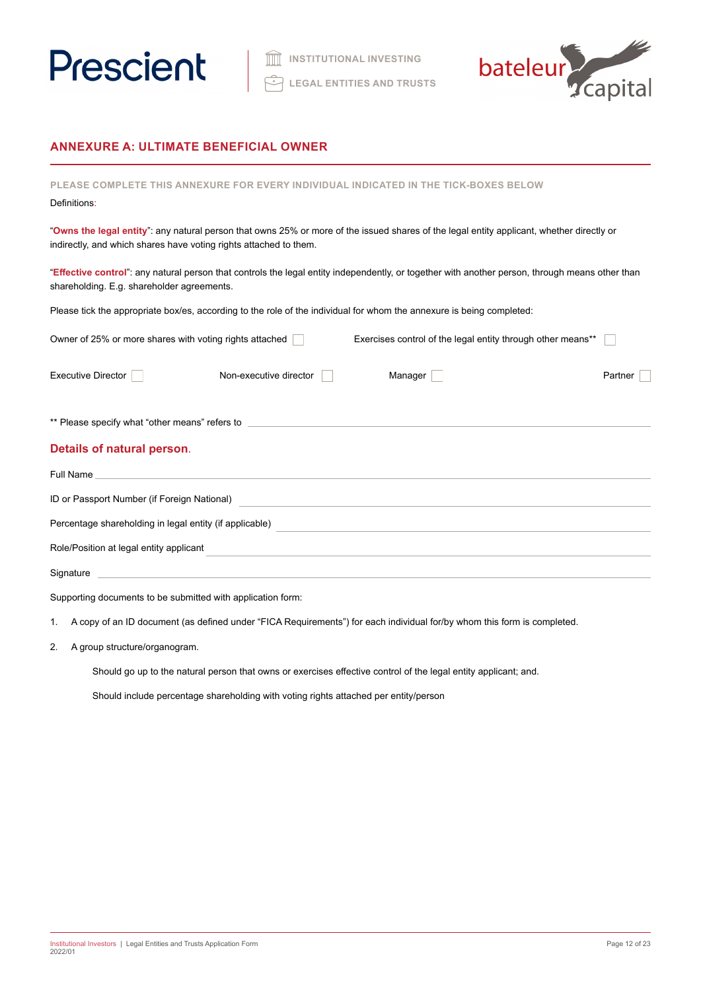



# **ANNEXURE A: ULTIMATE BENEFICIAL OWNER**

| <b>PLEASE COMPLETE</b><br>THIS ANNEXURE FOR EVERY INDIVIDUAL INDICATED IN THE TICK-BOXES BELOW<br>Definitions:                                                                                                 |                                                             |
|----------------------------------------------------------------------------------------------------------------------------------------------------------------------------------------------------------------|-------------------------------------------------------------|
| "Owns the legal entity": any natural person that owns 25% or more of the issued shares of the legal entity applicant, whether directly or<br>indirectly, and which shares have voting rights attached to them. |                                                             |
| "Effective control": any natural person that controls the legal entity independently, or together with another person, through means other than<br>shareholding. E.g. shareholder agreements.                  |                                                             |
| Please tick the appropriate box/es, according to the role of the individual for whom the annexure is being completed:                                                                                          |                                                             |
| Owner of 25% or more shares with voting rights attached                                                                                                                                                        | Exercises control of the legal entity through other means** |
| Manager<br><b>Executive Director</b><br>Non-executive director                                                                                                                                                 | Partner                                                     |
| ** Please specify what "other means" refers to _________________________________                                                                                                                               |                                                             |
| Details of natural person.                                                                                                                                                                                     |                                                             |
| Full Name<br>and the control of the control of the control of the control of the control of the control of the control of the                                                                                  |                                                             |
| ID or Passport Number (if Foreign National)                                                                                                                                                                    |                                                             |
| Percentage shareholding in legal entity (if applicable)<br>and the control of the control of the control of the control of the control of the control of the control of the                                    |                                                             |
| Role/Position at legal entity applicant                                                                                                                                                                        |                                                             |
| Signature                                                                                                                                                                                                      |                                                             |

Supporting documents to be submitted with application form:

1. A copy of an ID document (as defined under "FICA Requirements") for each individual for/by whom this form is completed.

2. A group structure/organogram.

Should go up to the natural person that owns or exercises effective control of the legal entity applicant; and.

Should include percentage shareholding with voting rights attached per entity/person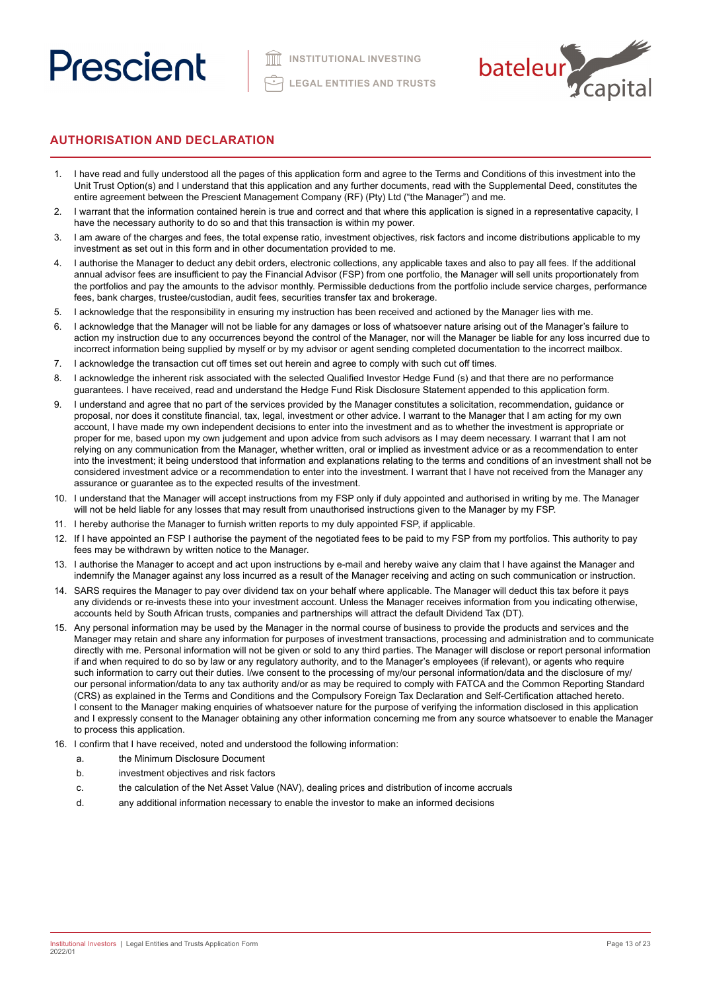

# **AUTHORISATION AND DECLARATION**

- 1. I have read and fully understood all the pages of this application form and agree to the Terms and Conditions of this investment into the Unit Trust Option(s) and I understand that this application and any further documents, read with the Supplemental Deed, constitutes the entire agreement between the Prescient Management Company (RF) (Pty) Ltd ("the Manager") and me.
- 2. I warrant that the information contained herein is true and correct and that where this application is signed in a representative capacity, I have the necessary authority to do so and that this transaction is within my power.
- 3. I am aware of the charges and fees, the total expense ratio, investment objectives, risk factors and income distributions applicable to my investment as set out in this form and in other documentation provided to me.
- 4. I authorise the Manager to deduct any debit orders, electronic collections, any applicable taxes and also to pay all fees. If the additional annual advisor fees are insufficient to pay the Financial Advisor (FSP) from one portfolio, the Manager will sell units proportionately from the portfolios and pay the amounts to the advisor monthly. Permissible deductions from the portfolio include service charges, performance fees, bank charges, trustee/custodian, audit fees, securities transfer tax and brokerage.
- 5. I acknowledge that the responsibility in ensuring my instruction has been received and actioned by the Manager lies with me.
- 6. I acknowledge that the Manager will not be liable for any damages or loss of whatsoever nature arising out of the Manager's failure to action my instruction due to any occurrences beyond the control of the Manager, nor will the Manager be liable for any loss incurred due to incorrect information being supplied by myself or by my advisor or agent sending completed documentation to the incorrect mailbox.
- 7. I acknowledge the transaction cut off times set out herein and agree to comply with such cut off times.
- 8. I acknowledge the inherent risk associated with the selected Qualified Investor Hedge Fund (s) and that there are no performance guarantees. I have received, read and understand the Hedge Fund Risk Disclosure Statement appended to this application form.
- 9. I understand and agree that no part of the services provided by the Manager constitutes a solicitation, recommendation, guidance or proposal, nor does it constitute financial, tax, legal, investment or other advice. I warrant to the Manager that I am acting for my own account, I have made my own independent decisions to enter into the investment and as to whether the investment is appropriate or proper for me, based upon my own judgement and upon advice from such advisors as I may deem necessary. I warrant that I am not relying on any communication from the Manager, whether written, oral or implied as investment advice or as a recommendation to enter into the investment; it being understood that information and explanations relating to the terms and conditions of an investment shall not be considered investment advice or a recommendation to enter into the investment. I warrant that I have not received from the Manager any assurance or guarantee as to the expected results of the investment.
- 10. I understand that the Manager will accept instructions from my FSP only if duly appointed and authorised in writing by me. The Manager will not be held liable for any losses that may result from unauthorised instructions given to the Manager by my FSP.
- 11. I hereby authorise the Manager to furnish written reports to my duly appointed FSP, if applicable.
- 12. If I have appointed an FSP I authorise the payment of the negotiated fees to be paid to my FSP from my portfolios. This authority to pay fees may be withdrawn by written notice to the Manager.
- 13. I authorise the Manager to accept and act upon instructions by e-mail and hereby waive any claim that I have against the Manager and indemnify the Manager against any loss incurred as a result of the Manager receiving and acting on such communication or instruction.
- 14. SARS requires the Manager to pay over dividend tax on your behalf where applicable. The Manager will deduct this tax before it pays any dividends or re-invests these into your investment account. Unless the Manager receives information from you indicating otherwise, accounts held by South African trusts, companies and partnerships will attract the default Dividend Tax (DT).
- 15. Any personal information may be used by the Manager in the normal course of business to provide the products and services and the Manager may retain and share any information for purposes of investment transactions, processing and administration and to communicate directly with me. Personal information will not be given or sold to any third parties. The Manager will disclose or report personal information if and when required to do so by law or any regulatory authority, and to the Manager's employees (if relevant), or agents who require such information to carry out their duties. I/we consent to the processing of my/our personal information/data and the disclosure of my/ our personal information/data to any tax authority and/or as may be required to comply with FATCA and the Common Reporting Standard (CRS) as explained in the Terms and Conditions and the Compulsory Foreign Tax Declaration and Self-Certification attached hereto. I consent to the Manager making enquiries of whatsoever nature for the purpose of verifying the information disclosed in this application and I expressly consent to the Manager obtaining any other information concerning me from any source whatsoever to enable the Manager to process this application.
- 16. I confirm that I have received, noted and understood the following information:
	- a. the Minimum Disclosure Document
	- b. investment objectives and risk factors
	- c. the calculation of the Net Asset Value (NAV), dealing prices and distribution of income accruals
	- d. any additional information necessary to enable the investor to make an informed decisions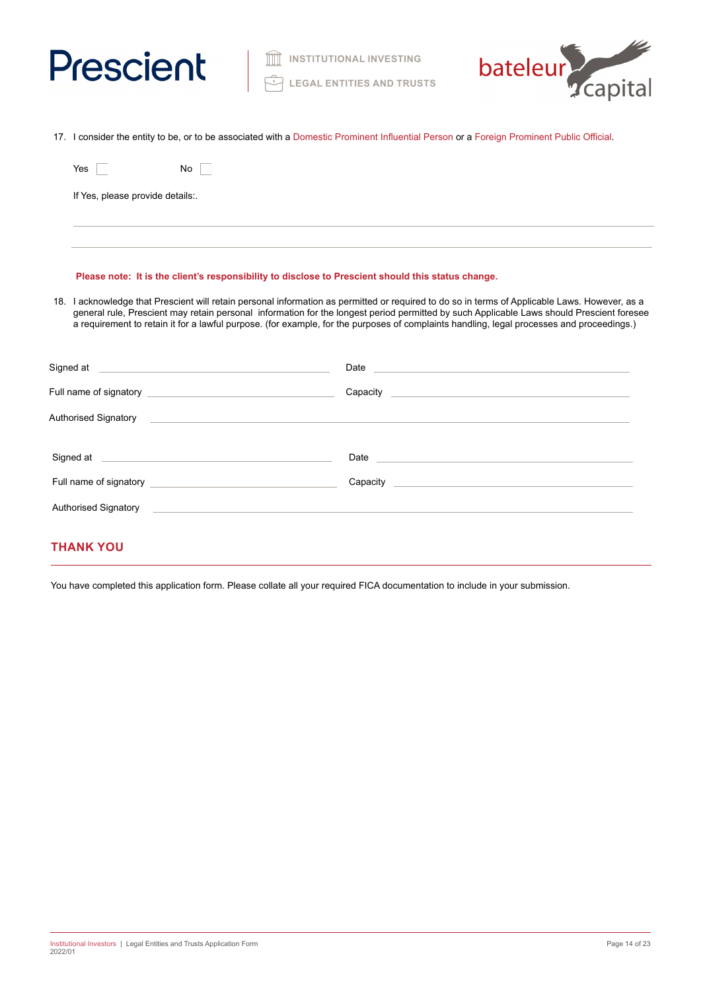



17. I consider the entity to be, or to be associated with a Domestic Prominent Influential Person or a Foreign Prominent Public Official.

| Yes                              | No |  |  |  |
|----------------------------------|----|--|--|--|
| If Yes, please provide details:. |    |  |  |  |
|                                  |    |  |  |  |

# **Please note: It is the client's responsibility to disclose to Prescient should this status change.**

18. I acknowledge that Prescient will retain personal information as permitted or required to do so in terms of Applicable Laws. However, as a general rule, Prescient may retain personal information for the longest period permitted by such Applicable Laws should Prescient foresee a requirement to retain it for a lawful purpose. (for example, for the purposes of complaints handling, legal processes and proceedings.)

| Signed at <u>example and a series of the series of the series of the series of the series of the series of the series of the series of the series of the series of the series of the series of the series of the series of the s</u> | Date experience and the set of the set of the set of the set of the set of the set of the set of the set of the                                                                                                                |
|--------------------------------------------------------------------------------------------------------------------------------------------------------------------------------------------------------------------------------------|--------------------------------------------------------------------------------------------------------------------------------------------------------------------------------------------------------------------------------|
|                                                                                                                                                                                                                                      |                                                                                                                                                                                                                                |
|                                                                                                                                                                                                                                      |                                                                                                                                                                                                                                |
| Signed at experiment and the service of the service of the service of the service of the service of the service                                                                                                                      | Date and the contract of the contract of the contract of the contract of the contract of the contract of the contract of the contract of the contract of the contract of the contract of the contract of the contract of the c |
| Full name of signatory <b>Example 20</b> Pull name of signatory                                                                                                                                                                      |                                                                                                                                                                                                                                |
| <b>Authorised Signatory</b>                                                                                                                                                                                                          |                                                                                                                                                                                                                                |
|                                                                                                                                                                                                                                      |                                                                                                                                                                                                                                |

# **THANK YOU**

You have completed this application form. Please collate all your required FICA documentation to include in your submission.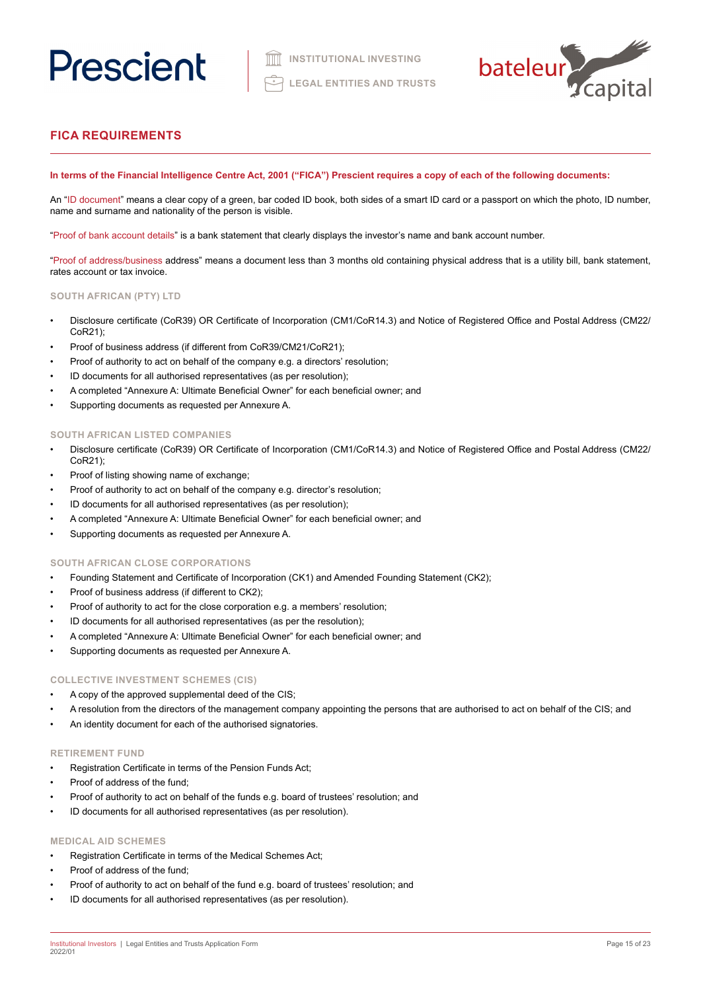

# **FICA REQUIREMENTS**

# **In terms of the Financial Intelligence Centre Act, 2001 ("FICA") Prescient requires a copy of each of the following documents:**

An "ID document" means a clear copy of a green, bar coded ID book, both sides of a smart ID card or a passport on which the photo, ID number, name and surname and nationality of the person is visible.

"Proof of bank account details" is a bank statement that clearly displays the investor's name and bank account number.

"Proof of address/business address" means a document less than 3 months old containing physical address that is a utility bill, bank statement, rates account or tax invoice.

# **SOUTH AFRICAN (PTY) LTD**

- Disclosure certificate (CoR39) OR Certificate of Incorporation (CM1/CoR14.3) and Notice of Registered Office and Postal Address (CM22/ CoR21);
- Proof of business address (if different from CoR39/CM21/CoR21);
- Proof of authority to act on behalf of the company e.g. a directors' resolution;
- ID documents for all authorised representatives (as per resolution);
- A completed "Annexure A: Ultimate Beneficial Owner" for each beneficial owner; and
- Supporting documents as requested per Annexure A.

# **SOUTH AFRICAN LISTED COMPANIES**

- Disclosure certificate (CoR39) OR Certificate of Incorporation (CM1/CoR14.3) and Notice of Registered Office and Postal Address (CM22/ CoR21);
- Proof of listing showing name of exchange;
- Proof of authority to act on behalf of the company e.g. director's resolution;
- ID documents for all authorised representatives (as per resolution);
- A completed "Annexure A: Ultimate Beneficial Owner" for each beneficial owner; and
- Supporting documents as requested per Annexure A.

### **SOUTH AFRICAN CLOSE CORPORATIONS**

- Founding Statement and Certificate of Incorporation (CK1) and Amended Founding Statement (CK2);
- Proof of business address (if different to CK2);
- Proof of authority to act for the close corporation e.g. a members' resolution;
- ID documents for all authorised representatives (as per the resolution);
- A completed "Annexure A: Ultimate Beneficial Owner" for each beneficial owner; and
- Supporting documents as requested per Annexure A.

### **COLLECTIVE INVESTMENT SCHEMES (CIS)**

- A copy of the approved supplemental deed of the CIS;
- A resolution from the directors of the management company appointing the persons that are authorised to act on behalf of the CIS; and
- An identity document for each of the authorised signatories.

#### **RETIREMENT FUND**

- Registration Certificate in terms of the Pension Funds Act;
- Proof of address of the fund:
- Proof of authority to act on behalf of the funds e.g. board of trustees' resolution; and
- ID documents for all authorised representatives (as per resolution).

# **MEDICAL AID SCHEMES**

- Registration Certificate in terms of the Medical Schemes Act;
- Proof of address of the fund;
- Proof of authority to act on behalf of the fund e.g. board of trustees' resolution; and
- ID documents for all authorised representatives (as per resolution).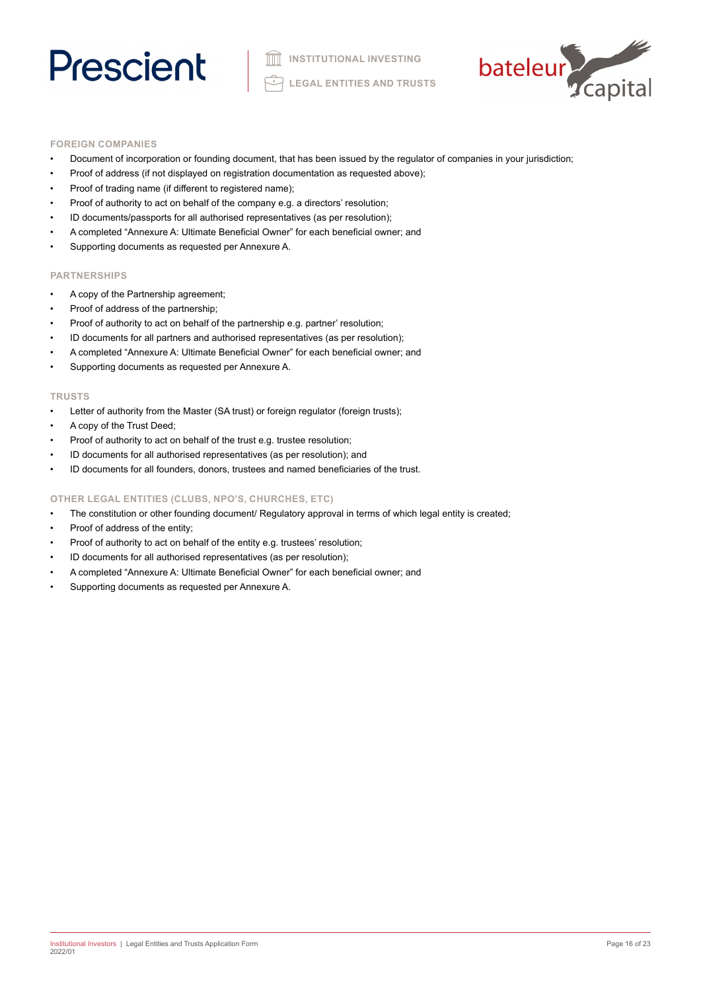

## **FOREIGN COMPANIES**

- Document of incorporation or founding document, that has been issued by the regulator of companies in your jurisdiction;
- Proof of address (if not displayed on registration documentation as requested above);
- Proof of trading name (if different to registered name);
- Proof of authority to act on behalf of the company e.g. a directors' resolution;
- ID documents/passports for all authorised representatives (as per resolution);
- A completed "Annexure A: Ultimate Beneficial Owner" for each beneficial owner; and
- Supporting documents as requested per Annexure A.

# **PARTNERSHIPS**

- A copy of the Partnership agreement;
- Proof of address of the partnership;
- Proof of authority to act on behalf of the partnership e.g. partner' resolution;
- ID documents for all partners and authorised representatives (as per resolution);
- A completed "Annexure A: Ultimate Beneficial Owner" for each beneficial owner; and
- Supporting documents as requested per Annexure A.

#### **TRUSTS**

- Letter of authority from the Master (SA trust) or foreign regulator (foreign trusts);
- A copy of the Trust Deed;
- Proof of authority to act on behalf of the trust e.g. trustee resolution;
- ID documents for all authorised representatives (as per resolution); and
- ID documents for all founders, donors, trustees and named beneficiaries of the trust.

## **OTHER LEGAL ENTITIES (CLUBS, NPO'S, CHURCHES, ETC)**

- The constitution or other founding document/ Regulatory approval in terms of which legal entity is created;
- Proof of address of the entity;
- Proof of authority to act on behalf of the entity e.g. trustees' resolution;
- ID documents for all authorised representatives (as per resolution);
- A completed "Annexure A: Ultimate Beneficial Owner" for each beneficial owner; and
- Supporting documents as requested per Annexure A.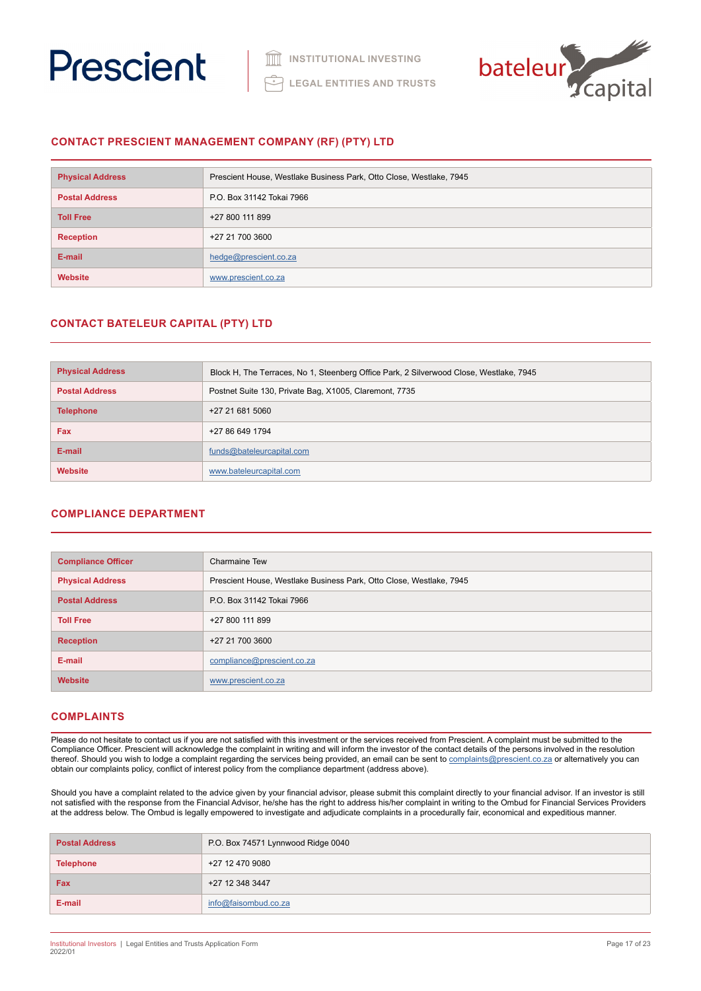



# **CONTACT PRESCIENT MANAGEMENT COMPANY (RF) (PTY) LTD**

| <b>Physical Address</b> | Prescient House, Westlake Business Park, Otto Close, Westlake, 7945 |  |
|-------------------------|---------------------------------------------------------------------|--|
| <b>Postal Address</b>   | P.O. Box 31142 Tokai 7966                                           |  |
| <b>Toll Free</b>        | +27 800 111 899                                                     |  |
| <b>Reception</b>        | +27 21 700 3600                                                     |  |
| E-mail                  | hedge@prescient.co.za                                               |  |
| <b>Website</b>          | www.prescient.co.za                                                 |  |

# **CONTACT BATELEUR CAPITAL (PTY) LTD**

| <b>Physical Address</b> | Block H, The Terraces, No 1, Steenberg Office Park, 2 Silverwood Close, Westlake, 7945 |
|-------------------------|----------------------------------------------------------------------------------------|
| <b>Postal Address</b>   | Postnet Suite 130, Private Bag, X1005, Claremont, 7735                                 |
| <b>Telephone</b>        | +27 21 681 5060                                                                        |
| Fax                     | +27 86 649 1794                                                                        |
| E-mail                  | funds@bateleurcapital.com                                                              |
| <b>Website</b>          | www.bateleurcapital.com                                                                |

# **COMPLIANCE DEPARTMENT**

| <b>Compliance Officer</b> | <b>Charmaine Tew</b>                                                |
|---------------------------|---------------------------------------------------------------------|
| <b>Physical Address</b>   | Prescient House, Westlake Business Park, Otto Close, Westlake, 7945 |
| <b>Postal Address</b>     | P.O. Box 31142 Tokai 7966                                           |
| <b>Toll Free</b>          | +27 800 111 899                                                     |
| <b>Reception</b>          | +27 21 700 3600                                                     |
| E-mail                    | compliance@prescient.co.za                                          |
| <b>Website</b>            | www.prescient.co.za                                                 |

# **COMPLAINTS**

Please do not hesitate to contact us if you are not satisfied with this investment or the services received from Prescient. A complaint must be submitted to the Compliance Officer. Prescient will acknowledge the complaint in writing and will inform the investor of the contact details of the persons involved in the resolution thereof. Should you wish to lodge a complaint regarding the services being provided, an email can be sent to [complaints@prescient.co.za](mailto:complaints%40prescient.co.za?subject=) or alternatively you can obtain our complaints policy, conflict of interest policy from the compliance department (address above).

Should you have a complaint related to the advice given by your financial advisor, please submit this complaint directly to your financial advisor. If an investor is still not satisfied with the response from the Financial Advisor, he/she has the right to address his/her complaint in writing to the Ombud for Financial Services Providers at the address below. The Ombud is legally empowered to investigate and adjudicate complaints in a procedurally fair, economical and expeditious manner.

| <b>Postal Address</b> | P.O. Box 74571 Lynnwood Ridge 0040 |
|-----------------------|------------------------------------|
| <b>Telephone</b>      | +27 12 470 9080                    |
| Fax                   | +27 12 348 3447                    |
| E-mail                | info@faisombud.co.za               |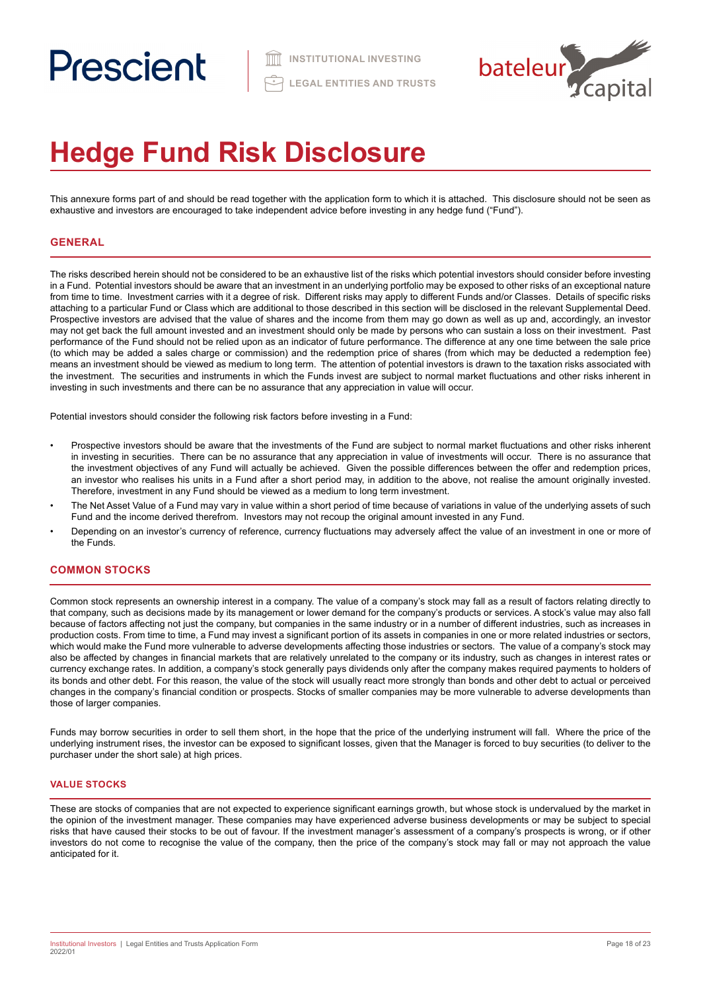

# **Hedge Fund Risk Disclosure**

This annexure forms part of and should be read together with the application form to which it is attached. This disclosure should not be seen as exhaustive and investors are encouraged to take independent advice before investing in any hedge fund ("Fund").

# **GENERAL**

The risks described herein should not be considered to be an exhaustive list of the risks which potential investors should consider before investing in a Fund. Potential investors should be aware that an investment in an underlying portfolio may be exposed to other risks of an exceptional nature from time to time. Investment carries with it a degree of risk. Different risks may apply to different Funds and/or Classes. Details of specific risks attaching to a particular Fund or Class which are additional to those described in this section will be disclosed in the relevant Supplemental Deed. Prospective investors are advised that the value of shares and the income from them may go down as well as up and, accordingly, an investor may not get back the full amount invested and an investment should only be made by persons who can sustain a loss on their investment. Past performance of the Fund should not be relied upon as an indicator of future performance. The difference at any one time between the sale price (to which may be added a sales charge or commission) and the redemption price of shares (from which may be deducted a redemption fee) means an investment should be viewed as medium to long term. The attention of potential investors is drawn to the taxation risks associated with the investment. The securities and instruments in which the Funds invest are subject to normal market fluctuations and other risks inherent in investing in such investments and there can be no assurance that any appreciation in value will occur.

Potential investors should consider the following risk factors before investing in a Fund:

- Prospective investors should be aware that the investments of the Fund are subject to normal market fluctuations and other risks inherent in investing in securities. There can be no assurance that any appreciation in value of investments will occur. There is no assurance that the investment objectives of any Fund will actually be achieved. Given the possible differences between the offer and redemption prices, an investor who realises his units in a Fund after a short period may, in addition to the above, not realise the amount originally invested. Therefore, investment in any Fund should be viewed as a medium to long term investment.
- The Net Asset Value of a Fund may vary in value within a short period of time because of variations in value of the underlying assets of such Fund and the income derived therefrom. Investors may not recoup the original amount invested in any Fund.
- Depending on an investor's currency of reference, currency fluctuations may adversely affect the value of an investment in one or more of the Funds.

# **COMMON STOCKS**

Common stock represents an ownership interest in a company. The value of a company's stock may fall as a result of factors relating directly to that company, such as decisions made by its management or lower demand for the company's products or services. A stock's value may also fall because of factors affecting not just the company, but companies in the same industry or in a number of different industries, such as increases in production costs. From time to time, a Fund may invest a significant portion of its assets in companies in one or more related industries or sectors, which would make the Fund more vulnerable to adverse developments affecting those industries or sectors. The value of a company's stock may also be affected by changes in financial markets that are relatively unrelated to the company or its industry, such as changes in interest rates or currency exchange rates. In addition, a company's stock generally pays dividends only after the company makes required payments to holders of its bonds and other debt. For this reason, the value of the stock will usually react more strongly than bonds and other debt to actual or perceived changes in the company's financial condition or prospects. Stocks of smaller companies may be more vulnerable to adverse developments than those of larger companies.

Funds may borrow securities in order to sell them short, in the hope that the price of the underlying instrument will fall. Where the price of the underlying instrument rises, the investor can be exposed to significant losses, given that the Manager is forced to buy securities (to deliver to the purchaser under the short sale) at high prices.

# **VALUE STOCKS**

These are stocks of companies that are not expected to experience significant earnings growth, but whose stock is undervalued by the market in the opinion of the investment manager. These companies may have experienced adverse business developments or may be subject to special risks that have caused their stocks to be out of favour. If the investment manager's assessment of a company's prospects is wrong, or if other investors do not come to recognise the value of the company, then the price of the company's stock may fall or may not approach the value anticipated for it.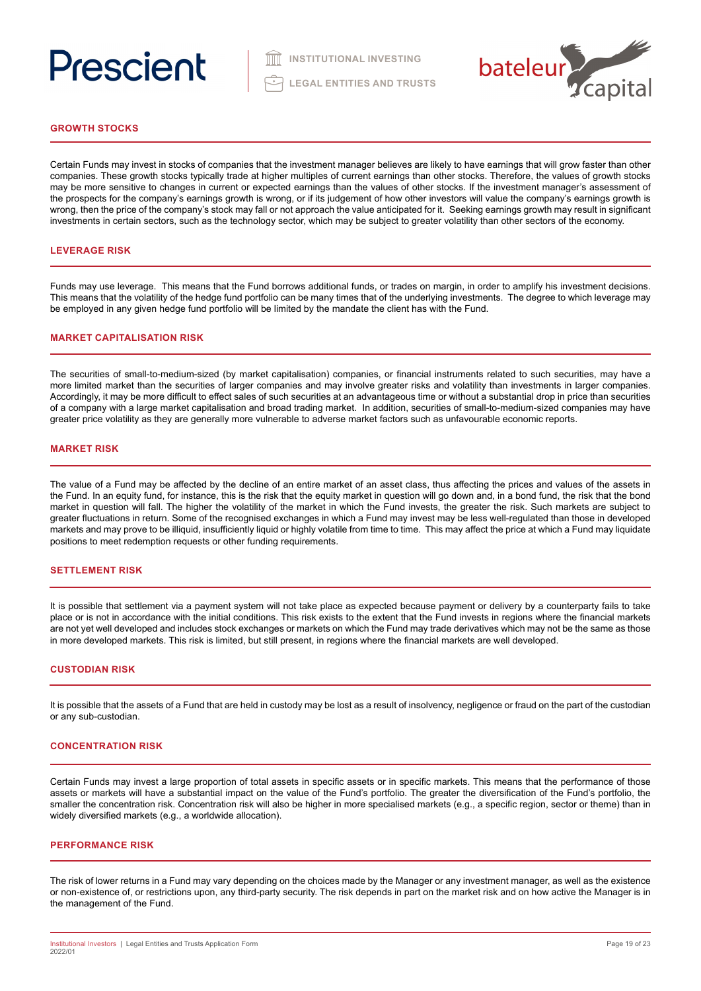

# **GROWTH STOCKS**

Certain Funds may invest in stocks of companies that the investment manager believes are likely to have earnings that will grow faster than other companies. These growth stocks typically trade at higher multiples of current earnings than other stocks. Therefore, the values of growth stocks may be more sensitive to changes in current or expected earnings than the values of other stocks. If the investment manager's assessment of the prospects for the company's earnings growth is wrong, or if its judgement of how other investors will value the company's earnings growth is wrong, then the price of the company's stock may fall or not approach the value anticipated for it. Seeking earnings growth may result in significant investments in certain sectors, such as the technology sector, which may be subject to greater volatility than other sectors of the economy.

### **LEVERAGE RISK**

Funds may use leverage. This means that the Fund borrows additional funds, or trades on margin, in order to amplify his investment decisions. This means that the volatility of the hedge fund portfolio can be many times that of the underlying investments. The degree to which leverage may be employed in any given hedge fund portfolio will be limited by the mandate the client has with the Fund.

### **MARKET CAPITALISATION RISK**

The securities of small-to-medium-sized (by market capitalisation) companies, or financial instruments related to such securities, may have a more limited market than the securities of larger companies and may involve greater risks and volatility than investments in larger companies. Accordingly, it may be more difficult to effect sales of such securities at an advantageous time or without a substantial drop in price than securities of a company with a large market capitalisation and broad trading market. In addition, securities of small-to-medium-sized companies may have greater price volatility as they are generally more vulnerable to adverse market factors such as unfavourable economic reports.

#### **MARKET RISK**

The value of a Fund may be affected by the decline of an entire market of an asset class, thus affecting the prices and values of the assets in the Fund. In an equity fund, for instance, this is the risk that the equity market in question will go down and, in a bond fund, the risk that the bond market in question will fall. The higher the volatility of the market in which the Fund invests, the greater the risk. Such markets are subject to greater fluctuations in return. Some of the recognised exchanges in which a Fund may invest may be less well-regulated than those in developed markets and may prove to be illiquid, insufficiently liquid or highly volatile from time to time. This may affect the price at which a Fund may liquidate positions to meet redemption requests or other funding requirements.

#### **SETTLEMENT RISK**

It is possible that settlement via a payment system will not take place as expected because payment or delivery by a counterparty fails to take place or is not in accordance with the initial conditions. This risk exists to the extent that the Fund invests in regions where the financial markets are not yet well developed and includes stock exchanges or markets on which the Fund may trade derivatives which may not be the same as those in more developed markets. This risk is limited, but still present, in regions where the financial markets are well developed.

#### **CUSTODIAN RISK**

It is possible that the assets of a Fund that are held in custody may be lost as a result of insolvency, negligence or fraud on the part of the custodian or any sub-custodian.

#### **CONCENTRATION RISK**

Certain Funds may invest a large proportion of total assets in specific assets or in specific markets. This means that the performance of those assets or markets will have a substantial impact on the value of the Fund's portfolio. The greater the diversification of the Fund's portfolio, the smaller the concentration risk. Concentration risk will also be higher in more specialised markets (e.g., a specific region, sector or theme) than in widely diversified markets (e.g., a worldwide allocation).

#### **PERFORMANCE RISK**

The risk of lower returns in a Fund may vary depending on the choices made by the Manager or any investment manager, as well as the existence or non-existence of, or restrictions upon, any third-party security. The risk depends in part on the market risk and on how active the Manager is in the management of the Fund.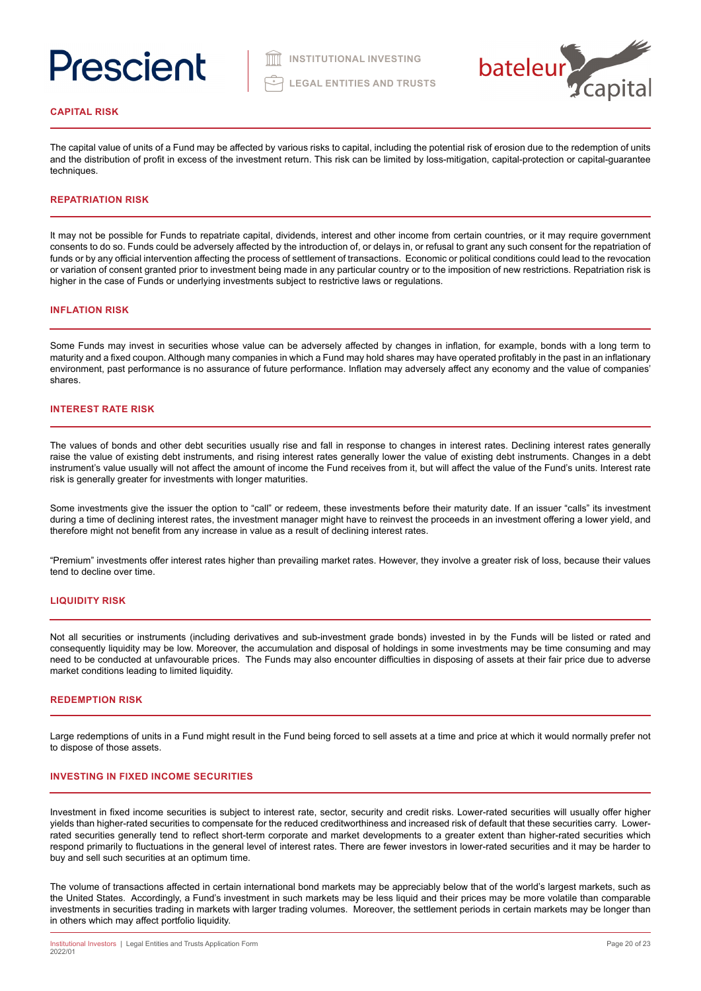

## **CAPITAL RISK**

The capital value of units of a Fund may be affected by various risks to capital, including the potential risk of erosion due to the redemption of units and the distribution of profit in excess of the investment return. This risk can be limited by loss-mitigation, capital-protection or capital-guarantee techniques.

## **REPATRIATION RISK**

It may not be possible for Funds to repatriate capital, dividends, interest and other income from certain countries, or it may require government consents to do so. Funds could be adversely affected by the introduction of, or delays in, or refusal to grant any such consent for the repatriation of funds or by any official intervention affecting the process of settlement of transactions. Economic or political conditions could lead to the revocation or variation of consent granted prior to investment being made in any particular country or to the imposition of new restrictions. Repatriation risk is higher in the case of Funds or underlying investments subject to restrictive laws or regulations.

#### **INFLATION RISK**

Some Funds may invest in securities whose value can be adversely affected by changes in inflation, for example, bonds with a long term to maturity and a fixed coupon. Although many companies in which a Fund may hold shares may have operated profitably in the past in an inflationary environment, past performance is no assurance of future performance. Inflation may adversely affect any economy and the value of companies' shares.

### **INTEREST RATE RISK**

The values of bonds and other debt securities usually rise and fall in response to changes in interest rates. Declining interest rates generally raise the value of existing debt instruments, and rising interest rates generally lower the value of existing debt instruments. Changes in a debt instrument's value usually will not affect the amount of income the Fund receives from it, but will affect the value of the Fund's units. Interest rate risk is generally greater for investments with longer maturities.

Some investments give the issuer the option to "call" or redeem, these investments before their maturity date. If an issuer "calls" its investment during a time of declining interest rates, the investment manager might have to reinvest the proceeds in an investment offering a lower yield, and therefore might not benefit from any increase in value as a result of declining interest rates.

"Premium" investments offer interest rates higher than prevailing market rates. However, they involve a greater risk of loss, because their values tend to decline over time.

# **LIQUIDITY RISK**

Not all securities or instruments (including derivatives and sub-investment grade bonds) invested in by the Funds will be listed or rated and consequently liquidity may be low. Moreover, the accumulation and disposal of holdings in some investments may be time consuming and may need to be conducted at unfavourable prices. The Funds may also encounter difficulties in disposing of assets at their fair price due to adverse market conditions leading to limited liquidity.

## **REDEMPTION RISK**

Large redemptions of units in a Fund might result in the Fund being forced to sell assets at a time and price at which it would normally prefer not to dispose of those assets.

#### **INVESTING IN FIXED INCOME SECURITIES**

Investment in fixed income securities is subject to interest rate, sector, security and credit risks. Lower-rated securities will usually offer higher yields than higher-rated securities to compensate for the reduced creditworthiness and increased risk of default that these securities carry. Lowerrated securities generally tend to reflect short-term corporate and market developments to a greater extent than higher-rated securities which respond primarily to fluctuations in the general level of interest rates. There are fewer investors in lower-rated securities and it may be harder to buy and sell such securities at an optimum time.

The volume of transactions affected in certain international bond markets may be appreciably below that of the world's largest markets, such as the United States. Accordingly, a Fund's investment in such markets may be less liquid and their prices may be more volatile than comparable investments in securities trading in markets with larger trading volumes. Moreover, the settlement periods in certain markets may be longer than in others which may affect portfolio liquidity.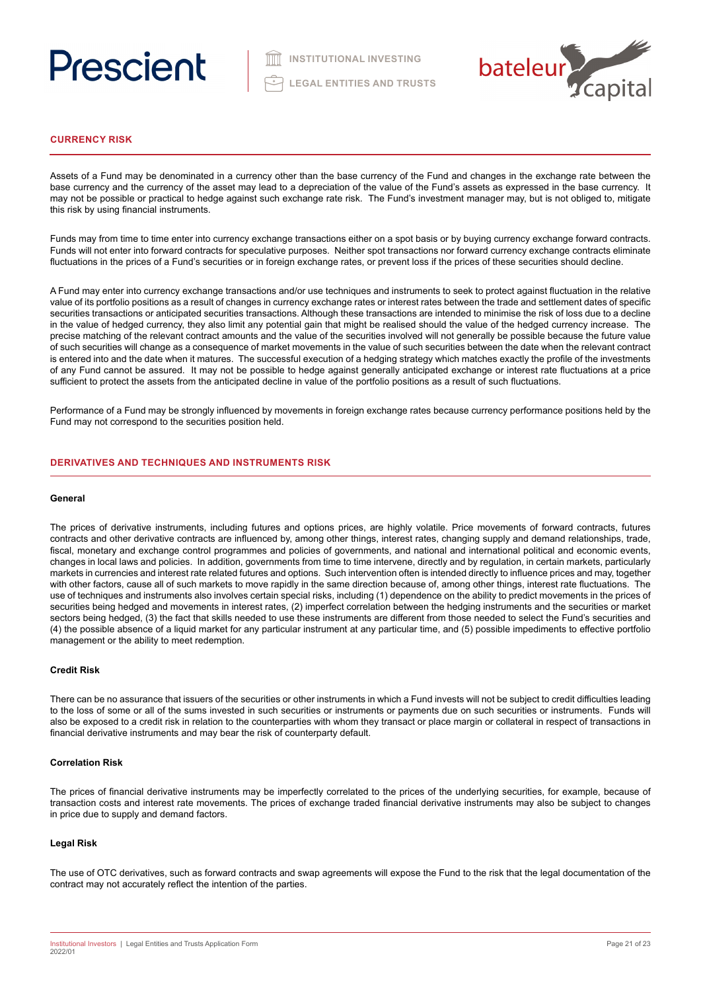

# **CURRENCY RISK**

Assets of a Fund may be denominated in a currency other than the base currency of the Fund and changes in the exchange rate between the base currency and the currency of the asset may lead to a depreciation of the value of the Fund's assets as expressed in the base currency. It may not be possible or practical to hedge against such exchange rate risk. The Fund's investment manager may, but is not obliged to, mitigate this risk by using financial instruments.

Funds may from time to time enter into currency exchange transactions either on a spot basis or by buying currency exchange forward contracts. Funds will not enter into forward contracts for speculative purposes. Neither spot transactions nor forward currency exchange contracts eliminate fluctuations in the prices of a Fund's securities or in foreign exchange rates, or prevent loss if the prices of these securities should decline.

A Fund may enter into currency exchange transactions and/or use techniques and instruments to seek to protect against fluctuation in the relative value of its portfolio positions as a result of changes in currency exchange rates or interest rates between the trade and settlement dates of specific securities transactions or anticipated securities transactions. Although these transactions are intended to minimise the risk of loss due to a decline in the value of hedged currency, they also limit any potential gain that might be realised should the value of the hedged currency increase. The precise matching of the relevant contract amounts and the value of the securities involved will not generally be possible because the future value of such securities will change as a consequence of market movements in the value of such securities between the date when the relevant contract is entered into and the date when it matures. The successful execution of a hedging strategy which matches exactly the profile of the investments of any Fund cannot be assured. It may not be possible to hedge against generally anticipated exchange or interest rate fluctuations at a price sufficient to protect the assets from the anticipated decline in value of the portfolio positions as a result of such fluctuations.

Performance of a Fund may be strongly influenced by movements in foreign exchange rates because currency performance positions held by the Fund may not correspond to the securities position held.

# **DERIVATIVES AND TECHNIQUES AND INSTRUMENTS RISK**

#### **General**

The prices of derivative instruments, including futures and options prices, are highly volatile. Price movements of forward contracts, futures contracts and other derivative contracts are influenced by, among other things, interest rates, changing supply and demand relationships, trade, fiscal, monetary and exchange control programmes and policies of governments, and national and international political and economic events, changes in local laws and policies. In addition, governments from time to time intervene, directly and by regulation, in certain markets, particularly markets in currencies and interest rate related futures and options. Such intervention often is intended directly to influence prices and may, together with other factors, cause all of such markets to move rapidly in the same direction because of, among other things, interest rate fluctuations. The use of techniques and instruments also involves certain special risks, including (1) dependence on the ability to predict movements in the prices of securities being hedged and movements in interest rates, (2) imperfect correlation between the hedging instruments and the securities or market sectors being hedged, (3) the fact that skills needed to use these instruments are different from those needed to select the Fund's securities and (4) the possible absence of a liquid market for any particular instrument at any particular time, and (5) possible impediments to effective portfolio management or the ability to meet redemption.

### **Credit Risk**

There can be no assurance that issuers of the securities or other instruments in which a Fund invests will not be subject to credit difficulties leading to the loss of some or all of the sums invested in such securities or instruments or payments due on such securities or instruments. Funds will also be exposed to a credit risk in relation to the counterparties with whom they transact or place margin or collateral in respect of transactions in financial derivative instruments and may bear the risk of counterparty default.

### **Correlation Risk**

The prices of financial derivative instruments may be imperfectly correlated to the prices of the underlying securities, for example, because of transaction costs and interest rate movements. The prices of exchange traded financial derivative instruments may also be subject to changes in price due to supply and demand factors.

### **Legal Risk**

The use of OTC derivatives, such as forward contracts and swap agreements will expose the Fund to the risk that the legal documentation of the contract may not accurately reflect the intention of the parties.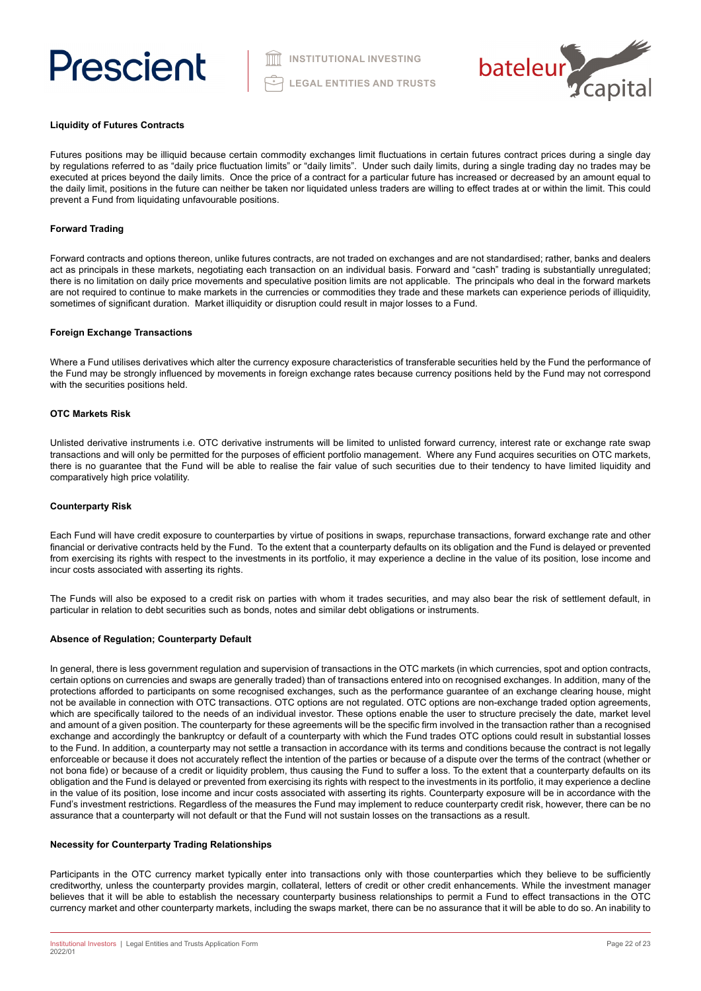

### **Liquidity of Futures Contracts**

Futures positions may be illiquid because certain commodity exchanges limit fluctuations in certain futures contract prices during a single day by regulations referred to as "daily price fluctuation limits" or "daily limits". Under such daily limits, during a single trading day no trades may be executed at prices beyond the daily limits. Once the price of a contract for a particular future has increased or decreased by an amount equal to the daily limit, positions in the future can neither be taken nor liquidated unless traders are willing to effect trades at or within the limit. This could prevent a Fund from liquidating unfavourable positions.

# **Forward Trading**

Forward contracts and options thereon, unlike futures contracts, are not traded on exchanges and are not standardised; rather, banks and dealers act as principals in these markets, negotiating each transaction on an individual basis. Forward and "cash" trading is substantially unregulated; there is no limitation on daily price movements and speculative position limits are not applicable. The principals who deal in the forward markets are not required to continue to make markets in the currencies or commodities they trade and these markets can experience periods of illiquidity, sometimes of significant duration. Market illiquidity or disruption could result in major losses to a Fund.

### **Foreign Exchange Transactions**

Where a Fund utilises derivatives which alter the currency exposure characteristics of transferable securities held by the Fund the performance of the Fund may be strongly influenced by movements in foreign exchange rates because currency positions held by the Fund may not correspond with the securities positions held.

#### **OTC Markets Risk**

Unlisted derivative instruments i.e. OTC derivative instruments will be limited to unlisted forward currency, interest rate or exchange rate swap transactions and will only be permitted for the purposes of efficient portfolio management. Where any Fund acquires securities on OTC markets, there is no guarantee that the Fund will be able to realise the fair value of such securities due to their tendency to have limited liquidity and comparatively high price volatility.

### **Counterparty Risk**

Each Fund will have credit exposure to counterparties by virtue of positions in swaps, repurchase transactions, forward exchange rate and other financial or derivative contracts held by the Fund. To the extent that a counterparty defaults on its obligation and the Fund is delayed or prevented from exercising its rights with respect to the investments in its portfolio, it may experience a decline in the value of its position, lose income and incur costs associated with asserting its rights.

The Funds will also be exposed to a credit risk on parties with whom it trades securities, and may also bear the risk of settlement default, in particular in relation to debt securities such as bonds, notes and similar debt obligations or instruments.

### **Absence of Regulation; Counterparty Default**

In general, there is less government regulation and supervision of transactions in the OTC markets (in which currencies, spot and option contracts, certain options on currencies and swaps are generally traded) than of transactions entered into on recognised exchanges. In addition, many of the protections afforded to participants on some recognised exchanges, such as the performance guarantee of an exchange clearing house, might not be available in connection with OTC transactions. OTC options are not regulated. OTC options are non-exchange traded option agreements, which are specifically tailored to the needs of an individual investor. These options enable the user to structure precisely the date, market level and amount of a given position. The counterparty for these agreements will be the specific firm involved in the transaction rather than a recognised exchange and accordingly the bankruptcy or default of a counterparty with which the Fund trades OTC options could result in substantial losses to the Fund. In addition, a counterparty may not settle a transaction in accordance with its terms and conditions because the contract is not legally enforceable or because it does not accurately reflect the intention of the parties or because of a dispute over the terms of the contract (whether or not bona fide) or because of a credit or liquidity problem, thus causing the Fund to suffer a loss. To the extent that a counterparty defaults on its obligation and the Fund is delayed or prevented from exercising its rights with respect to the investments in its portfolio, it may experience a decline in the value of its position, lose income and incur costs associated with asserting its rights. Counterparty exposure will be in accordance with the Fund's investment restrictions. Regardless of the measures the Fund may implement to reduce counterparty credit risk, however, there can be no assurance that a counterparty will not default or that the Fund will not sustain losses on the transactions as a result.

### **Necessity for Counterparty Trading Relationships**

Participants in the OTC currency market typically enter into transactions only with those counterparties which they believe to be sufficiently creditworthy, unless the counterparty provides margin, collateral, letters of credit or other credit enhancements. While the investment manager believes that it will be able to establish the necessary counterparty business relationships to permit a Fund to effect transactions in the OTC currency market and other counterparty markets, including the swaps market, there can be no assurance that it will be able to do so. An inability to